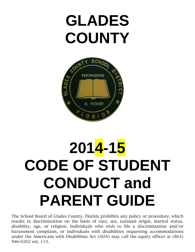



# **2014-15 CODE OF STUDENT CONDUCT and PARENT GUIDE**

The School Board of Glades County, Florida prohibits any policy or procedure, which results in discrimination on the basis of race, sex, national origin, marital status, disability, age, or religion. Individuals who wish to file a discrimination and/or harassment complaint, or individuals with disabilities requesting accommodations under the Americans with Disabilities Act (ADA) may call the equity officer at (863) 946-0202 ext. 113.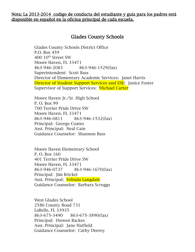## Nota: La 2013-2014 codigo de conducta del estudiante y guía para los padres está disponible en español en la oficina principal de cada escuela.

# Glades County Schools

Glades County Schools District Office P.O. Box 459 400 10th Street SW Moore Haven, FL 33471 863-946-2083 863-946-1529(fax) Superintendent: Scott Bass Director of Elementary Academic Services: Janet Harris Director of Student Support Services and ESE: Janice Foster Supervisor of Support Services: Michael Carter

Moore Haven Jr./Sr. High School P. O. Box 99 700 Terrier Pride Drive SW Moore Haven, FL 33471 863-946-0811 863-946-1532(fax) Principal: George Coates Asst. Principal: Neal Cain Guidance Counselor: Shannon Bass

Moore Haven Elementary School P. O. Box 160 401 Terrier Pride Drive SW Moore Haven, FL 33471 863-946-0737 863-946-1670(fax) Principal: Jim Brickel Asst. Principal: Felinda Langdale Guidance Counselor: Barbara Scruggs

West Glades School 2586 County Road 731 LaBelle, FL 33935 863-675-3490 863-675-3890(fax) Principal: Doreen Backes Asst. Principal: Jane Hatfield Guidance Counselor: Cathy Deerey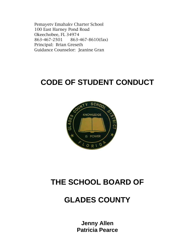Pemayetv Emahakv Charter School 100 East Harney Pond Road Okeechobee, FL 34974<br>863-467-2501 863-863-467-8610(fax) Principal: Brian Greseth Guidance Counselor: Jeanine Gran

# **CODE OF STUDENT CONDUCT**



# **THE SCHOOL BOARD OF**

# **GLADES COUNTY**

**Jenny Allen Patricia Pearce**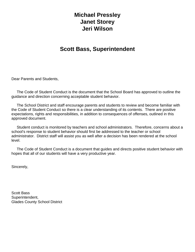# **Michael Pressley Janet Storey Jeri Wilson**

# **Scott Bass, Superintendent**

Dear Parents and Students,

 The Code of Student Conduct is the document that the School Board has approved to outline the guidance and direction concerning acceptable student behavior.

 The School District and staff encourage parents and students to review and become familiar with the Code of Student Conduct so there is a clear understanding of its contents. There are positive expectations, rights and responsibilities, in addition to consequences of offenses, outlined in this approved document.

 Student conduct is monitored by teachers and school administrators. Therefore, concerns about a school's response to student behavior should first be addressed to the teacher or school administrator. District staff will assist you as well after a decision has been rendered at the school level.

 The Code of Student Conduct is a document that guides and directs positive student behavior with hopes that all of our students will have a very productive year.

Sincerely,

Scott Bass Superintendent, Glades County School District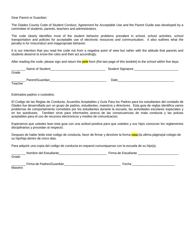Dear Parent or Guardian:

The Glades County Code of Student Conduct, Agreement for Acceptable Use and the Parent Guide was developed by a committee of students, parents, teachers and administrators.

The code clearly identifies most of the student behavior problems prevalent in school, school activities, school transportation and policies for acceptable use of electronic resources and communication. It also outlines what the penalty is for misconduct and inappropriate behavior.

It is our intention that you read the code not from a negative point of view but rather with the attitude that parents and students deserve to know the rules and then act accordingly.

After reading the code, please sign and return the **pink** form (the last page of this booklet) to the school within five days.

|         | Name of Student | Student Signature |
|---------|-----------------|-------------------|
| Grade   |                 |                   |
| Teacher | Parent/Guardian | Date              |

Estimados padres o custodios:

El Codigo de las Reglas de Conducta, Acuerdos Aceptables y Guía Para los Padres para los estudiantes del condado de Glades fue desarrollado por un grupo de padres, estudiantes, maestros y directores. Esta guia de reglas identifica varios problemas de comportamiento cometidos por los estudiantes durante la escuela, las actividades escolares especiales y en los autobuses. Tambien sirve para informarles acerca de las consecuencias de mala conducta y las polizas aceptables para el uso de recursos electronicos y medios de comuntcacion.

Esperamos que ustedes lean esta guia con una actitud positiva para que ustedes y sus hijos conozcan los reglamentos disciplinarios y procedan al respecto.

Despues de haber leido este codigo de conducta, favor de firmar y devolver la forma nosa (la ultima página)al colegio de su hijo/hija dentro de cinco dias.

Para adquirir una copia del codigo de conducta en espanol comuniquense con la escuela de su hijo(a).

| Nombre del Estudiante         | Firma de Estudiante |
|-------------------------------|---------------------|
| Grado                         |                     |
|                               |                     |
| Firma de Padres/Guardián<br>. | Fecha               |

Masetro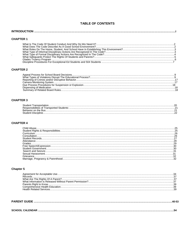### **TABLE OF CONTENTS**

### **CHAPTER 1**

### **CHAPTER 2**

### **CHAPTER 3**

| Student Transportation. |  |
|-------------------------|--|
|                         |  |
| Behavior on the Bus     |  |
| Student                 |  |

### **CHAPTER 4**

| Rſ |
|----|
|    |
|    |
| 20 |
| ີ  |
|    |

### **Chapter 5**

| <b>PARF</b> |  | 40-53 |
|-------------|--|-------|
|             |  |       |

|--|--|--|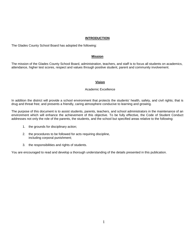### **INTRODUCTION**

The Glades County School Board has adopted the following:

### **Mission**

The mission of the Glades County School Board, administration, teachers, and staff is to focus all students on academics, attendance, higher test scores, respect and values through positive student, parent and community involvement.

### **Vision**

### Academic Excellence

In addition the district will provide a school environment that protects the students' health, safety, and civil rights; that is drug and threat free; and presents a friendly, caring atmosphere conducive to learning and growing.

The purpose of this document is to assist students, parents, teachers, and school administrators in the maintenance of an environment which will enhance the achievement of this objective. To be fully effective, the Code of Student Conduct addresses not only the role of the parents, the students, and the school but specified areas relative to the following:

- 1. the grounds for disciplinary action;
- 2. the procedures to be followed for acts requiring discipline, including corporal punishment;
- 3. the responsibilities and rights of students.

You are encouraged to read and develop a thorough understanding of the details presented in this publication.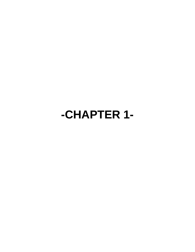# **-CHAPTER 1-**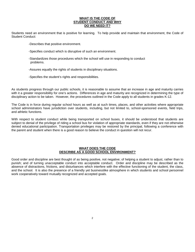### **WHAT IS THE CODE OF STUDENT CONDUCT AND WHY DO WE NEED IT?**

Students need an environment that is positive for learning. To help provide and maintain that environment, the Code of Student Conduct:

-Describes that positive environment.

-Specifies conduct which is disruptive of such an environment.

-Standardizes those procedures which the school will use in responding to conduct problems.

-Assures equally the rights of students in disciplinary situations.

-Specifies the student's rights and responsibilities.

As students progress through our public schools, it is reasonable to assume that an increase in age and maturity carries with it a greater responsibility for one's actions. Differences in age and maturity are recognized in determining the type of disciplinary action to be taken. However, the procedures outlined in the Code apply to all students in grades K-12.

The Code is in force during regular school hours as well as at such times, places, and other activities where appropriate school administrators have jurisdiction over students, including, but not limited to, school-sponsored events, field trips, and athletic functions.

With respect to student conduct while being transported on school buses, it should be understood that students are subject to denial of the privilege of riding a school bus for violation of appropriate standards, even if they are not otherwise denied educational participation. Transportation privileges may be restored by the principal, following a conference with the parent and student when there is a good reason to believe the conduct in question will not recur.

### **WHAT DOES THE CODE DESCRIBE AS A GOOD SCHOOL ENVIRONMENT?**

Good order and discipline are best thought of as being positive, not negative; of helping a student to adjust, rather than to punish; and of turning unacceptable conduct into acceptable conduct. Order and discipline may be described as the absence of distractions, frictions, and disturbances which interfere with the effective functioning of the student, the class, and the school. It is also the presence of a friendly yet businesslike atmosphere in which students and school personnel work cooperatively toward mutually recognized and accepted goals.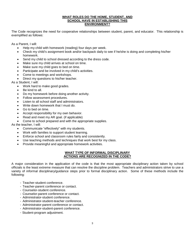### **WHAT ROLES DO THE HOME, STUDENT, AND SCHOOL HAVE IN ESTABLISHING THIS ENVIRONMENT?**

The Code recognizes the need for cooperative relationships between student, parent, and educator. This relationship is exemplified as follows:

As a Parent, I will:

- Help my child with homework (reading) four days per week.
- Check my child's assignment book and/or backpack daily to see if he/she is doing and completing his/her homework.
- Send my child to school dressed according to the dress code.
- Make sure my child arrives at school on time.
- Make sure my child goes to bed on time.
- Participate and be involved in my child's activities.
- Come to meetings and workshops.
- Direct my questions to his/her teacher.

As a Student, I will:

- Work hard to make good grades.
- Be kind to all.
- Do my homework before doing another activity.
- Follow assessment procedures.
- Listen to all school staff and administrators.
- Write down homework that I must do.
- Go to bed on time.
- Accept responsibility for my own behavior.
- Read and meet my AR goal. (if applicable)
- Come to school prepared and with the appropriate supplies.

As the teacher, I will:

- Communicate "effectively" with my students.
- Work with families to support student learning.
- Enforce school and classroom rules fairly and consistently.
- Use teaching methods and techniques that work best for my class.
- Provide meaningful and appropriate homework activities.

### **WHAT TYPE OF INFORMAL DISCIPLINARY ACTIONS ARE RECOGNIZED IN THE CODE?**

A major consideration in the application of the code is that the most appropriate disciplinary action taken by school officials is the least extreme measure that can resolve the discipline problem. Teachers and administrators strive to use a variety of informal disciplinary/guidance steps prior to formal disciplinary action. Some of these methods include the following:

- Teacher-student conference.
- Teacher-parent conference or contact.
- Counselor-student conference.
- Counselor-parent conference or contact.
- Administrator-student conference.
- Administrator-student-teacher conference.
- Administrator-parent conference or contact.
- Administrator-student-parent conference.
- Student-program adjustment.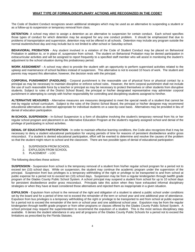### **WHAT TYPE OF FORMALDISCIPLINARY ACTIONS ARE RECOGNIZED IN THE CODE?**

The Code of Student Conduct recognizes seven additional strategies which may be used as an alternative to suspending a student or as a follow-up to suspension or temporary removal from class.

**DETENTION-** A school may elect to assign a detention as an alternative to suspension for certain conduct. Each school specifies those types of conduct for which detention may be assigned for any one conduct problem. It should be emphasized that due to problems of transportation and supervision, detention may not be offered in all schools. Detention may include any program outside the normal student/school day and may include but is not limited to after-school or Saturday-school.

**BEHAVIORAL PROBATION** - Any student involved in a violation of the Code of Student Conduct may be placed on Behavioral Probation in addition to, or in place of, suspension from school. The student on Behavioral Probation may be denied participation in extracurricular activities and will be assigned to report frequently to a specified staff member who will assist in monitoring the student's adjustment to the school situation during this probationary period.

**WORK ASSIGNMENT -** A school may elect to provide the student with an opportunity to perform supervised activities related to the upkeep and maintenance of school facilities instead of suspension. This alternative is not to exceed 10 hours of work. The student and parents may request this alternative; however, the decision rests with the principal.

**CORPORAL PUNISHMENT (PADDLING)** - Corporal punishment is the reasonable use of physical force or physical contact by a principal as may be necessary to maintain discipline or enforce school rules. However, the term corporal punishment shall not include the use of such reasonable force by a teacher or principal as may be necessary to protect themselves or other students from disruptive students. Subject to rules of the District School Board, the principal or his/her designated representative may administer corporal punishment in attempting to comply with his/her responsibility for controlling and disciplining students assigned to him/her.

**ALTERNATIVE MEASURES** - Alternative measures are measures designated to meet the special needs of a student that cannot be met by regular school curriculum. Subject to the rules of the District School Board, the principal or his/her designee may recommend educational alternatives as deemed appropriate for individual students on a case-by-case basis. Alternatives may be provided in lieu of denial of education participation.

**IN-SCHOOL SUSPENSION -** In-School Suspension is a form of discipline involving the student's temporary removal from his or her regular school program and placement in an Alternative Education Program at the student's regularly assigned school and denial of the privilege of participating in school activities.

**DENIAL OF EDUCATION PARTICIPATION** - In order to maintain effective learning conditions, the Code also recognizes that it may be necessary to deny a student educational participation for varying periods of time for reasons of persistent disobedience and/or gross misconduct. If a student is denied educational participation, effort will be exerted to determine and resolve the causes of the problem so that the student might return to school and the classroom. There are two possible types of denial of educational participation:

- 1. SUSPENSION FROM SCHOOL
- 2. EXPULSION FROM SCHOOL
- 3. PLACEMENT LOC

The following describes these actions:

**SUSPENSION** - Suspension from school is the temporary removal of a student from his/her regular school program for a period not to exceed ten (10) school days. While on suspension, the student may continue the academic program under the supervision of the principal. Suspension from bus privileges is a temporary withholding of the right or privilege to be transported to and from school at public expense for a period not to exceed ten (10) school days. Suspension may be from a regular kindergarten through twelfth grade program of the Glades County Public School System. A school principal may suspend a student from school for up to 10 school days for persistent disobedience and/or gross misconduct. Principals take this action when they have exhausted informal disciplinary strategies or when they have at least considered those alternatives and rejected them as inappropriate in a given situation.

**EXPULSION** - Expulsion from school is the removal of the right and obligation of a student to attend a public school under conditions set by the board and for a period of time not to exceed the remainder of the term or school year and one additional year of attendance. Expulsion from bus privileges is a temporary withholding of the right or privilege to be transported to and from school at public expense for a period not to exceed the remainder of the term or school year and one additional school year. Expulsion may be from the regular kindergarten through twelfth grade program or from other programs or classes offered by the Glades County Public School System. A school principal may request the superintendent to recommend the expulsion of a student. This is the most serious disciplinary step available. It denies the student attendance in any and all programs of the Glades County Public Schools for a period not to exceed the limitations as prescribed by the Florida Statutes.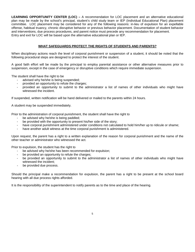**LEARNING OPPORTUNITY CENTER (LOC) –** A recommendation for LOC placement and an alternative educational plan may be made by the school's principal, student's child study team or IEP (Individual Educational Plan) placement committee. LOC placement may be considered for any of the following reasons: in-lieu of expulsion for an expellable offense, habitual truancy, chronic disruptive behavior or previous behavior placement. Documentation of student behavior and interventions, due process procedures, and parent notice must precede any recommendation for placement. Entry and exit for LOC will be based upon the alternative educational plan or IEP.

### **WHAT SAFEGUARDS PROTECT THE RIGHTS OF STUDENTS AND PARENTS?**

When disciplinary actions reach the level of corporal punishment or suspension of a student, it should be noted that the following procedural steps are designed to protect the interest of the student.

A good faith effort will be made by the principal to employ parental assistance or other alternative measures prior to suspension, except in the case of emergency or disruptive conditions which require immediate suspension.

The student shall have the right to be

- advised why he/she is being suspended;
- provided an opportunity to refute the charges;
- provided an opportunity to submit to the administrator a list of names of other individuals who might have witnessed the incident.

If suspended, written notification will be hand delivered or mailed to the parents within 24 hours.

A student may be suspended immediately.

Prior to the administration of corporal punishment, the student shall have the right to

- be advised why he/she is being paddled;
- be provided with the opportunity to present his/her side of the story;
- have corporal punishment administered under conditions not calculated to hold him/her up to ridicule or shame;
- have another adult witness at the time corporal punishment is administered.

Upon request, the parent has a right to a written explanation of the reason for corporal punishment and the name of the other teacher or administrator who witnessed the act.

Prior to expulsion, the student has the right to

- be advised why he/she has been recommended for expulsion;
- be provided an opportunity to refute the charges:
- be provided an opportunity to submit to the administrator a list of names of other individuals who might have witnessed the incident;
- be provided due process.

Should the principal make a recommendation for expulsion, the parent has a right to be present at the school board hearing with all due process rights afforded.

It is the responsibility of the superintendent to notify parents as to the time and place of the hearing.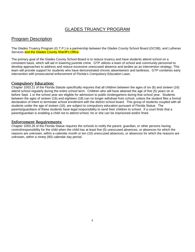# GLADES TRUANCY PROGRAM

# Program Description

The Glades Truancy Program (G.T.P.) is a partnership between the Glades County School Board (GCSB), and Lutheran Services and the Glades County Sheriff's Office.

The primary goal of the Glades County School Board is to reduce truancy and have students attend school on a consistent basis, which will aid in lowering juvenile crime. GTP utilizes a team of school and community personnel to develop approaches to address and reduce excessive unexcused absence and tardies as an intervention strategy. This team will provide support for students who have demonstrated chronic absenteeism and tardiness. GTP combines early intervention with prosecutorial enforcement of Florida's Compulsory Education Laws.

### Compulsory Education:

Chapter 1003.21 of the Florida Statute specifically requires that all children between the ages of six (6) and sixteen (16) attend school regularly during the entire school term. Children who will have attained the age of five (5) years on or before Sept. 1 or the school year are eligible for admission to public kindergartens during that school year. Students between the ages of sixteen (16) and eighteen (18) can no longer withdraw from school, unless the student files a formal declaration of intent to terminate school enrollment with the district school board. This group of students coupled with all students under the age of sixteen (16), are subject to compulsory education pursuant of Florida Statue. The parents/guardians of these students have legal responsibility to send their children to school. If a court finds that a parent/guardian is enabling a child not to attend school, he or she can be imprisoned and/or fined.

### Enforcement Requirements:

Chapter 1003.26 of the Florida Statue requires the schools to notify the parent, guardian, or other persons having control/responsibility for the child when the child has at least five (5) unexcused absences, or absences for which the reasons are unknown, within a calendar month or ten (10) unexcused absences, or absences for which the reasons are unknown, within a ninety (90) calendar day period.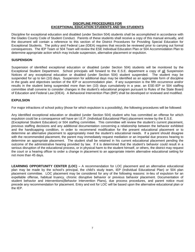### **DISCIPLINE PROCEDURES FOR EXCEPTIONAL EDUCATION STUDENTS AND 504 STUDENTS**

Discipline for exceptional education and disabled (under Section 504) students shall be accomplished in accordance with the Glades County Code of Student Conduct. Parents of these students shall receive a copy of this manual annually, and the document will contain a reference to this section of the District Procedures for Providing Special Education for Exceptional Students. The policy and Federal Law (IDEA) requires that records be reviewed prior to carrying out formal consequences. The IEP Team or 504 Team will review the ESE Individual Education Plan or 504 Accommodation Plan to determine appropriate action which may include suspension, alternative placement or expulsion.

### **SUSPENSION**

Suspension of identified exceptional education or disabled (under Section 504) students will be monitored by the Exceptional Student Department. School principals will forward to the E.S.E. department a copy of all Suspension Notices of any exceptional education or disabled (under Section 504) student suspended. The student may be suspended for up to ten (10) days. Suspension for additional days may be identified as an appropriate form of discipline in the goals and objectives section of the IEP or accommodation plan. If any suspension is the fifth occurrence and/or results in the student being suspended more than ten (10) days cumulatively in a year, an ESE-IEP or 504 staffing committee shall convene to consider changes in the student's educational program pursuant to Rules of the State Board of Education and Federal Law (IDEA). A Behavioral Intervention Plan (BIP) shall be developed or reviewed and modified.

### **EXPULSION**

For major infractions of school policy (those for which expulsion is a possibility), the following procedures will be followed:

Any identified exceptional education or disabled (under Section 504) student who has committed an offense for which expulsion could be a consequence will have an I.E.P. (Individual Educational Plan) placement review by the E.S.E. (Exceptional Student Education) or 504 staffing committee. This committee will review the student's current placement, previous staffing decisions and any additional documentation concerning a relationship between the behavior exhibited and the handicapping condition, in order to recommend modification for the present educational placement or to determine an alternative placement to appropriately meet the student's educational needs. If a parent should disagree with the recommended placement, the parent may immediately request mediation or an impartial due process hearing to determine an appropriate placement. The student shall be retained in his current educational placement pending the outcome of the administrative hearing provided by law. If it is determined that the student's behavior could result in a serious disruption of the educational process, or in physical harm to the student himself, or others, the district may request the court or a hearing officer to order a change in placement to an appropriate interim alternative educational setting for not more than 45 days.

**LEARNING OPPORTUNITY CENTER (LOC) –** A recommendation for LOC placement and an alternative educational plan may be made by the school's principal, the child's study team, IEP (Individual Educational Plan) or 504 plan placement committee. LOC placement may be considered for any of the following reasons: in-lieu of expulsion for an expellable offense, habitual truancy, chronic disruptive behavior or previous behavior placement. Documentation of student behavior and interventions(Behavior Intervention Plans), due process procedures, and parent notice must precede any recommendation for placement. Entry and exit for LOC will be based upon the alternative educational plan or the IEP.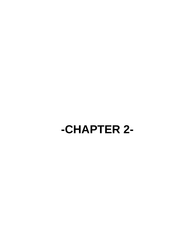# **-CHAPTER 2-**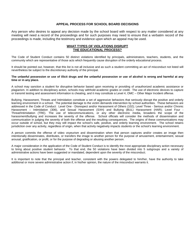### **APPEAL PROCESS FOR SCHOOL BOARD DECISIONS**

Any person who desires to appeal any decision made by the school board with respect to any matter considered at any meeting will need a record of the proceedings and for such purposes may need to ensure that a verbatim record of the proceedings is made, including the testimony and evidence upon which an appeal may be used.

### **WHAT TYPES OF VIOLATIONS DISRUPT THE EDUCATIONAL PROCESS?**

The Code of Student Conduct contains 50 distinct violations identified by principals, administrators, teachers, students, and the community which are representative of those acts which frequently cause disruption of the orderly educational process.

It should be pointed out, however, that this list is not all inclusive and as such a student committing an act of misconduct not listed will nevertheless be subject to the discretionary authority of the principal.

### **The unlawful possession or use of illicit drugs and the unlawful possession or use of alcohol is wrong and harmful at any time or in any place.**

A school may sanction a student for disruptive behavior based upon receiving or providing of unauthorized academic assistance or plagiarism. In addition to disciplinary action, schools may withhold academic grades or credit. The use of electronic devices to capture or transmit testing and assessment information is cheating, and it may constitute a Level 4, OMC – Other Major Incident offense.

Bullying, Harassment, Threats and Intimidation constitute a set of aggressive behaviors that seriously disrupt the positive and orderly learning environment in a school. The potential damage to the victim demands intervention by school authorities. These behaviors are addressed in the Code of Conduct: Level One - Disrespect and/or Harassment of Others (102); Level Three - Serious and/or Chronic Harassment – Intimidation (306), and Sexual Harassment (SXH) and Bullying (BUL) Harassment (HAR); Level Four - Threat/Intimidation (TRE). The use of telecommunications, or any other electronic media, broadens the scope of the harassment/bullying and increases the severity of the offense. School officials will consider the methods of dissemination and communication in judging the severity of both the offense and the resulting consequences. The origins of these communications may occur outside of school, but they may still impact the school's safe, positive, and orderly learning environment. The school retains jurisdiction over any activity, regardless of origin, when that activity negatively impacts students or the school's learning environment.

A person commits the offense of video voyeurism and dissemination when that person captures and/or creates an image then intentionally disseminates, distributes, or transfers the image to another person for the purpose of amusement, entertainment, sexual arousal, gratification, or profit, or for the purpose of degrading or abusing another person.

A major consideration in the application of the Code of Student Conduct is to identify the most appropriate disciplinary action necessary to bring about positive student behavior. To that end, the 50 violations have been divided into 5 subgroups and a variety of administrative actions have been suggested or mandated, dependent upon the severity of the misconduct.

It is important to note that the principal and teacher, consistent with the powers delegated to him/her, have the authority to take additional or more severe administrative action if, in his/her opinion, the nature of the misconduct warrants it.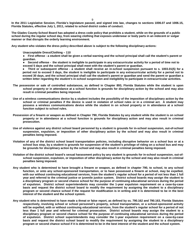9

**In the 2011 Legislative Session, Florida's legislature passed, and signed into law, changes to sections 1006.07 and 1006.15, Florida Statutes, effective July 1, 2011, related to school district codes of conduct.**

**The Glades County School Board has adopted a dress code policy that prohibits a student, while on the grounds of a public school during the regular school day, from wearing clothing that exposes underwear or body parts in an indecent or vulgar manner or that disrupts the orderly learning environment.** 

**Any student who violates the dress policy described above is subject to the following disciplinary actions:** 

**Unacceptable Dress/Clothing – 110**

**● First offense - a student shall be given a verbal warning and the school principal shall call the student's parent or guardian.**

**● Second offense - the student is ineligible to participate in any extracurricular activity for a period of time not to exceed 5 days and the school principal shall meet with the student's parent or guardian.** 

**● Third or subsequent offense - a student shall receive an in-school suspension pursuant to s. 1003.01(5) for a period not to exceed 3 days, the student is ineligible to participate in any extracurricular activity for a period not to exceed 30 days, and the school principal shall call the student's parent or guardian and send the parent or guardian a written letter regarding the student's in-school suspension and ineligibility to participate in extracurricular activities.**

- **The possession or sale of controlled substances, as defined in Chapter 893, Florida Statutes while the student is upon school property or in attendance at a school function is grounds for disciplinary action by the school and may also result in criminal penalties being imposed.**
- **Use of a wireless communications device by a student includes the possibility of the imposition of disciplinary action by the school or criminal penalties if the device is used in violation of school rules or in a criminal act. A student may possess a wireless communications device while the student in on school property or in attendance at a school function subject to school rules.**
- **Possession of a firearm or weapon as defined in Chapter 790, Florida Statutes by any student while the student is on school property or in attendance at a school function is grounds for disciplinary action and may also result in criminal prosecution.**
- **Use of violence against any district school board personnel by a student is grounds for in-school suspension, out-of-school suspension, expulsion, or imposition of other disciplinary action by the school and may also result in criminal penalties being imposed.**
- **Violation of any of the district school board transportation policies, including disruptive behavior on a school bus or at a school bus stop, by a student is grounds for suspension of the student's privilege of riding on a school bus and may be grounds for disciplinary action by the school and may also result in criminal penalties being imposed.**
- **Violation of the district school board's sexual harassment policy by any student is grounds for in-school suspension, out-ofschool suspension, expulsion, or imposition of other disciplinary action by the school and may also result in criminal penalties being imposed.**
- **Any student who is determined to have brought a firearm or weapon, as defined in chapter 790, to school, to any school function, or onto any school-sponsored transportation, or to have possessed a firearm at school, may be expelled, with our without continuing educational services, from the student's regular school for a period of not less than 1 full year and referred to the criminal justice or juvenile justice system. District school boards may assign the student to a disciplinary program or second chance school for the purpose of continuing educational services during the period of expulsion. District school superintendents may consider the 1-year expulsion requirement on a case-by-case basis and request the district school board to modify the requirement by assigning the student to a disciplinary program or second chance school if the request for modification is in writing and it is determined to be in the best interest of the student and the school system.**
- **Any student who is determined to have made a threat or false report, as defined by ss. 790.162 and 790.163, Florida Statutes respectively, involving school or school personnel's property, school transportation, or a school-sponsored activity will be expelled, with or without continuing educational services, from the student's regular school for a period of not less than 1 full year and referred for criminal prosecution. District school boards may assign the student to a disciplinary program or second chance school for the purpose of continuing educational services during the period of expulsion. District school superintendents may consider the 1-year expulsion requirement on a case-by-case basis and request the district school board to modify the requirement by assigning the student to a disciplinary program or second chance school if it is determined to be in the best interest of the student and the school system.**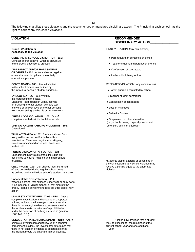10

The following chart lists these violations and the recommended or mandated disciplinary action. The Principal at each school has the right to correct any mis-coded violations.

**\_\_\_\_\_\_\_\_\_\_\_\_\_\_\_\_\_\_\_\_\_\_\_\_\_\_\_\_\_\_\_\_\_\_\_\_\_\_\_\_\_\_\_\_\_\_\_\_\_\_\_\_\_\_\_\_\_\_\_\_\_\_\_\_\_\_\_**

# **Accessory to the Violation)**

### GENERAL IN-SCHOOL DISRUPTION - 101: **And CENERAL IN-SCHOOL DISRUPTION - 101: And CENERAL 4 Parent/guardian contacted by school**

Conduct and/or behavior which is disruptive<br>to the orderly educational process.

### **DISRESPECT AND/OR HARASSMENT DISRESPECT AND/OR HARASSMENT OF OTHERS - 102:** Actions directed against

others that are disruptive to the orderly extended a set of the orderly extended a label and  $\bullet$  In-class disciplinary action educational process.

### to the school process as defined by<br>
the individual school's student handbook.<br>
the individual school's student handbook. the individual school's student handbook.

### **LYING/CHEATING - 104:** Willfully ● Teacher-student conference

misrepresenting the facts. Cheating – participates in using, copying example and the confiscation of contraband of contraband or providing another student with any test answers or answer keys or another person's ● Loss of Privileges work representing it to be his or her own work.

**DRESS CODE VIOLATION - 105:** Out of compliance with district/school dress code.

### **DRIVING AND/OR PARKING VIOLATION – 106**: detention, denial of privilege) **Operational**

**TRUANCY/TARDY – 107:** Students absent from assigned instruction and/or duties without permission. Examples may include: skipping, excessive unexcused absences, excessive tardies, etc.

### **PUBLIC DISPLAY OF AFFECTION - 108**:

Engagement in physical contact including but not limited to kissing, hugging and inappropriate

**CELL PHONE - 109:** Cell phones must be turned receive a perceive a perceive a perceive a perceive a perceive a perceive a perceive a perceive a perceive a perceive a perceive a perceive a perceive a perceive a perceive a off and concealed during regular school hours as defined by the individual school's student handbook.

### **Unacceptable Dress/Clothing – 110**

Wearing clothing that exposes underwear or body parts in an indecent or vulgar manner or that disrupts the orderly learning environment. (see pg. 9 for disciplinary action)

**UNSUBSTANTIATED BULLYING – UBL:** After a complete investigation and follow up of a reported bullying incident, the investigator determines that there in not enough evidence to substantiate that the incident meets the criteria of a prohibited act under the definition of bullying as listed in (section 1006.147, F.S.)

### **UNSUBSTANTIATED HARASSMENT – UHR:** After a **the experiment of the student** complete investigation and follow up of a reported **the student** may be expelled for the remainder of the complete investigation and follow up of a reported may may be expelled for the remainder of the remainder of the remainder of the remainder of the remainder of the remainder of the remainder of the remainder of the remaind harassment incident, the investigator determines that there in not enough evidence to substantiate that  $year$ . the incident meets the criteria of a prohibited act

### **VIOLATION RECOMMENDED** DISCIPLINARY ACTION

**Group I (Violation or** FIRST VIOLATION: (any combination)

- 
- Teacher-student and parent conference
- 
- 

**CONTRABAND - 103:** Items disruptive **REPEATED VIOLATION:** (any combination)

- 
- 
- 
- 
- Behavior Contract
- (i.e., school chores, corporal punishment,

\*Students aiding, abetting or conspiring in the commission of any school violation may<br>receive a penalty equal to the attempted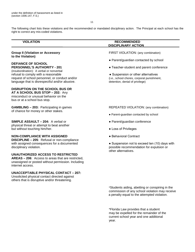The following chart lists these violations and the recommended or mandated disciplinary action. The Principal at each school has the right to correct any mis-coded violations.

**\_\_\_\_\_\_\_\_\_\_\_\_\_\_\_\_\_\_\_\_\_\_\_\_\_\_\_\_\_\_\_\_\_\_\_\_\_\_\_\_\_\_\_\_\_\_\_\_\_\_\_\_\_\_\_\_\_\_\_\_\_\_\_\_\_\_\_\_\_\_\_\_\_\_\_\_\_\_\_\_\_\_\_\_\_\_\_\_\_\_\_\_\_\_\_**

# **to the Violation)**

# **DEFIANCE OF SCHOOL**

(insubordination): A verbal or nonverbal refusal to comply with a reasonable **business and the Suspension or other alternatives** request of school personnel, or conduct and/or (i.e., school chores, corporal punishment, language that is disrespectful and/or abusive. The manufacture of extention, denial of privilege)

### **DISRUPTION ON THE SCHOOL BUS OR**

**AT A SCHOOL BUS STOP – 202:** Any misconduct or unusual behavior on the bus or at a school bus stop.

### **GAMBLING – 203:** Participating in games REPEATED VIOLATION: (any combination) of chance for money or other stakes.

**SIMPLE ASSAULT – 204:** A verbal or **All Accords •** Parent/guardian conference physical threat or attempt to beat another but without touching him/her.  $\bullet$  Loss of Privileges

### **NON-COMPLIANCE WITH ASSIGNED All and Southern Assignment Contract Assignment Contract**

**DISCIPLINE – 205**: Refusal or non-compliance with assigned consequences for a documented <br>disciplinary violation.<br>possible recommendation for expulsion or

### **UNAUTHORIZED ACCESS TO RESTRICTED**

**AREAS – 206**: Access to areas that are restricted, unassigned or posted without permission. Including internet access.

### **UNACCEPTABLE PHYSICAL CONTACT – 207:**

Unsolicited physical contact directed against others that is disruptive and/or threatening.

### **VIOLATION RECOMMENDED** DISCIPLINARY ACTION

**Group II (Violation or Accessory** FIRST VIOLATION: (any combination)

- Parent/guardian contacted by school
- **Teacher-student and parent conference**

- Parent-guardian contacted by school
- 
- 
- 

possible recommendation for expulsion or other alternatives.

\*Students aiding, abetting or conspiring in the commission of any school violation may receive a penalty equal to the attempted violation.

\*Florida Law provides that a student may be expelled for the remainder of the current school year and one additional year.

11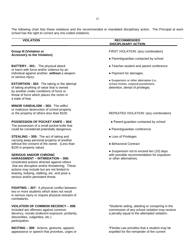The following chart lists these violations and the recommended or mandated disciplinary action. The Principal at each school has the right to correct any mis-coded violations.

### $\_$  ,  $\_$  ,  $\_$  ,  $\_$  ,  $\_$  ,  $\_$  ,  $\_$  ,  $\_$  ,  $\_$  ,  $\_$  ,  $\_$  ,  $\_$  ,  $\_$  ,  $\_$  ,  $\_$  ,  $\_$  ,  $\_$  ,  $\_$  ,  $\_$  ,  $\_$  ,  $\_$  ,  $\_$  ,  $\_$  ,  $\_$  ,  $\_$  ,  $\_$  ,  $\_$  ,  $\_$  ,  $\_$  ,  $\_$  ,  $\_$  ,  $\_$  ,  $\_$  ,  $\_$  ,  $\_$  ,  $\_$  ,  $\_$  , **VIOLATION RECOMMENDED** DISCIPLINARY ACTION **Group III (Violation or** FIRST VIOLATION: (any combination) **Accessory to the Violation)** • Parent/guardian contacted by school **BATTERY - 301:** The physical attack **at the example of the set of Teacher-student and parent conference** or harm with force and/or violence by an individual against another, without a weapon **•** Payment for damages. or serious injury. • Suspension or other alternative (i.e., school chores, corporal punishment, **EXTORTION - 302:** The taking or the attempt of taking anything of value that is owned detention, denial of privilege). by another under conditions of force or threat of force which places the victim in a state of fear. **MINOR VANDALISM – 303:** The willful or malicious destruction of school property or the property of others less than \$100. REPEATED VIOLATION: (any combination) **POSSESSION OF POCKET KNIFE – 304:** • Parent-guardian contacted by school The possession of a small pocket knife that could be considered potentially dangerous. <br> **•** Parent/guardian conference

**STEALING – 305:** The act of taking and **DETERIVIEGES •** Loss of Privileges carrying away personal property of another without the consent of the owner. (Less than **a conserver the contract** e Behavioral Contract \$100 in property value).

# **HARASSMENT – INTIMIDATION – 306:**

Unsolicited actions directed against others that are disruptive and/or threatening. These actions may include but are not limited to teasing, bullying, stalking, etc. and pose a serious and/or persistent threat.

**FIGHTING – 307:** A physical conflict between two or more students which does not result in serious injury or require physical restraint of combatants.

### **VIOLATION OF COMMON DECENCY – 308:** \*Students aiding, abetting or conspiring in the

decency, morals (indecent exposure, profanity, a penalty equal to the attempted violation. obscenities, vulgarities, etc.) participation.

**INCITING – 309**: Actions, gestures, apparel,  $\bullet$  \*Florida Law provides that a student may be appearance or speech that provokes, urges or expelled for the remainder of the current

Included are offenses against common commission of any school violation may receive

12

- 
- 

.

• Suspension not to exceed ten (10) days **SERIOUS AND/OR CHRONIC**<br> **HARASSMENT – INTIMIDATION – 306:**<br> **COMPANY** or other alternatives.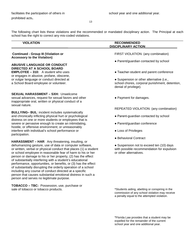The following chart lists these violations and the recommended or mandated disciplinary action. The Principal at each school has the right to correct any mis-coded violations.

| <b>DISCIPLINARY ACTION</b>                                                                                          |
|---------------------------------------------------------------------------------------------------------------------|
| FIRST VIOLATION: (any combination)                                                                                  |
| • Parent/guardian contacted by school                                                                               |
| • Teacher-student and parent conference                                                                             |
| · Suspension or other alternative (i.e.,<br>school chores, corporal punishment, detention,<br>denial of privilege). |
| • Payment for damages.                                                                                              |
| REPEATED VIOLATION: (any combination)                                                                               |
| • Parent-guardian contacted by school                                                                               |
| • Parent/guardian conference                                                                                        |
| • Loss of Privileges                                                                                                |
| • Behavioral Contract                                                                                               |
| • Suspension not to exceed ten (10) days<br>with possible recommendation for expulsion<br>or other alternatives.    |
| *Students aiding, abetting or conspiring in the                                                                     |
|                                                                                                                     |

commission of any school violation may receive a penalty equal to the attempted violation.

\*Florida Law provides that a student may be expelled for the remainder of the current school year and one additional year.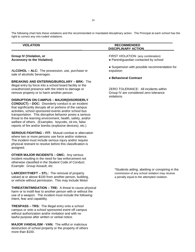The following chart lists these violations and the recommended or mandated disciplinary action. The Principal at each school has the right to correct any mis-coded violations.

 $\mathcal{L}_\text{max}$  and  $\mathcal{L}_\text{max}$  and  $\mathcal{L}_\text{max}$  and  $\mathcal{L}_\text{max}$  and  $\mathcal{L}_\text{max}$  and  $\mathcal{L}_\text{max}$ 

# **Group IV (Violation, or Service 20 Service 20 Service 20 Service 20 Service 20 Service 20 Service 20 Service 2<br>
<b>Accessory to the Violation)** Consumer Service 20 Service 20 Service 20 Service 20 Service 20 Service 20 Serv

ALCOHOL – ALC: The possession, use, purchase or sale of alcoholic beverages.

**BREAKING AND ENTERING/BURGLARY – BRK:** The illegal entry by force into a school board facility or the unauthorized presence with the intent to damage or <br>  $ZERO TOLERANCE: All incident with in  
\nremove property or to harm another person. \nGroup IV are considered zero tolerance$ remove property or to harm another person.

**DISRUPTION ON CAMPUS – MAJOR(DISORDERLY**

**CONDUCT) – DOC:** Disorderly conduct is an incident that significantly disrupts all or portions of the campus activities, school sponsored events and/or school bus transportation. This disruptive behavior poses a serious threat to the learning environment, health, safety, and/or welfare of others. (Examples: boycotts, sit-ins, false reports of fire and/or bombs (explosive devices), etc.)

**SERIOUS FIGHTING – FIT:** Mutual combat or altercation where two or more persons use force and/or violence. The incident must include serious injury and/or require physical restraint to resolve before this classification is assigned.

**OTHER MAJOR INCIDENTS – OMC:** Any serious incident resulting in the need for law enforcement not otherwise classified in the Student Code of Conduct. Example: Group Assault, etc

**LARCENY/THEFT – STL:** The removal of property valued at or above \$100 from another person, building, a penalty equal to the attempted violation. or vehicle without permission. This may include Motor

**THREAT/INTIMIDATION – TRE:** A threat to cause physical harm or to instill fear to another person with or without the use of a weapon. The incident must include the following: intent, fear and capability.

**TRESPASS – TRS:** The illegal entry onto a school campus or onto a school sponsored event off campus without authorization and/or invitation and with no lawful purpose after written or verbal notice.

**MAJOR VANDALISM - VAN:** The willful or malicious destruction of school property or the property of others more than \$100.

### **VIOLATION RECOMMENDED** DISCIPLINARY ACTION

- Parent/guardian contacted by school
- Suspension with possible recommendation for expulsion
- **Behavioral Contract**

violations.

\*Students aiding, abetting or conspiring in the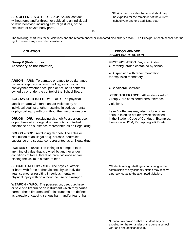**SEX OFFENSES OTHER – SXO:** Sexual contact be expelled for the remainder of the current without force and/or threat, or subjecting an individual vear school year and one additional year. without force and/or threat, or subjecting an individual to lewd behavior, including sexual gestures, or the exposure of private body parts.

\*Florida Law provides that any student may

15

**\_\_\_\_\_\_\_\_\_\_\_\_\_\_\_\_\_\_\_\_\_\_\_\_\_\_\_\_\_\_\_\_\_\_\_\_\_\_\_\_\_\_\_\_\_\_\_\_\_\_\_\_\_\_\_\_\_\_\_\_\_\_\_\_\_\_\_\_\_\_\_\_\_\_\_\_\_\_\_\_\_\_\_\_\_\_\_\_\_\_\_\_\_\_\_\_\_\_\_\_\_\_\_\_\_\_\_\_\_\_\_\_\_\_\_\_\_**

The following chart lists these violations and the recommended or mandated disciplinary action. The Principal at each school has the right to correct any mis-coded violations.

# **Group V (Violation, or Group V (Violation, or FIRST VIOLATION:** (any combination)<br> **Accessory to the Violation) Company of the Violation**

**ARSON – ARS:** To damage or cause to be damaged, by fire or explosion of any dwelling, structure, or conveyance whether occupied or not, or its contents **•** Behavioral Contract owned by or under the control of the School Board.

### **AGGRAVATED BATTERY – BAT:** The physical Group V are considered zero tolerance

attack or harm with force and/or violence by an violations. individual against another resulting in serious mental or physical injury with or without the use of a weapon. Level V offenses may also include other

**DRUGS – DRU:** (excluding alcohol) Possession, use, in the Student Code of Conduct. Examples: or purchase of an illegal drug, narcotic, controlled Homicide – HOM, Kidnapping – KID, etc. or purchase of an illegal drug, narcotic, controlled substance or a substance represented as an illegal drug.

**DRUGS – DRD:** (excluding alcohol) The sales or distribution of an illegal drug, narcotic, controlled substance or a substance represented as an illegal drug.

**ROBBERY – ROB**: The taking or attempt to take anything of value that is owned by another under conditions of force, threat of force, violence and/or placing the victim in a state of fear.

**SEXUAL BATTERY - SXB:** The physical attack \* \*Students aiding, abetting or conspiring in the or harm with force and/or violence by an individual commission of any school violation may receive against another resulting in serious mental or a penalty equal to the attempted violation. physical injury with or without the use of a weapon.

**WEAPON – WPO:** The possession, use, purchase or sale of a firearm or an instrument which may cause harm. These firearms and/or instruments are defined as capable of causing serious harm and/or fear of harm.

### **VIOLATION RECOMMENDED** DISCIPLINARY ACTION

- 
- Parent/guardian contacted by school
- Suspension with recommendation for expulsion mandatory.
- 

**ZERO TOLERANCE:** All incidents within

serious felonies not otherwise classified

\*Florida Law provides that a student may be expelled for the remainder of the current school year and one additional year.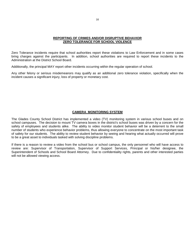### **REPORTING OF CRIMES AND/OR DISRUPTIVE BEHAVIOR ZERO TOLERANCE FOR SCHOOL VIOLENCE**

Zero Tolerance incidents require that school authorities report these violations to Law Enforcement and in some cases bring charges against the participants. In addition, school authorities are required to report these incidents to the Administration at the District School Board.

Additionally, the principal MAY report other incidents occurring within the regular operation of school.

Any other felony or serious misdemeanors may qualify as an additional zero tolerance violation, specifically when the incident causes a significant injury, loss of property or monetary cost.

### **CAMERA MONITORING SYSTEM**

The Glades County School District has implemented a video (TV) monitoring system in various school buses and on school campuses. The decision to mount TV camera boxes in the district's school buses was driven by a concern for the safety of employees and students alike. The ability to video monitor student behavior will be a deterrent to the small number of students who experience behavior problems, thus allowing everyone to concentrate on the most important task of safety for our students. The ability to review student behavior by seeing and hearing what actually occurred will prove to be a great asset to individuals tasked with solving discipline problems.

If there is a reason to review a video from the school bus or school campus, the only personnel who will have access to review are: Supervisor of Transportation, Supervisor of Support Services, Principal or his/her designee, the Superintendent of Schools and School Board Attorney. Due to confidentiality rights, parents and other interested parties will not be allowed viewing access.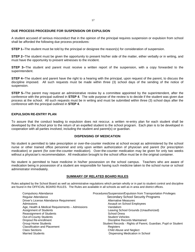### **DUE PROCESS PROCEDURE FOR SUSPENSION OR EXPULSION**

A student accused of serious misconduct that in the opinion of the principal requires suspension or expulsion from school shall be afforded the following due process procedures:

**STEP 1--**The student must be told by the principal or designee the reason(s) for consideration of suspension.

**STEP 2--**The student must be given the opportunity to present his/her side of the matter, either verbally or in writing, and must have the opportunity to present witnesses to the incident.

**STEP 3--**The student and parent must receive a written report of the suspension, with a copy forwarded to the superintendent.

**STEP 4--**The student and parent have the right to a hearing with the principal, upon request of the parent, to discuss the discipline imposed. All such requests must be made within three (3) school days of the sending of the notice of suspension.

**STEP 5--**The parent may request an administrative review by a committee appointed by the superintendent, after the conference with the principal outlined in **STEP 4**. The sole purpose of the review is to decide if the student was given due process at the school. All such requests must be in writing and must be submitted within three (3) school days after the conference with the principal outlined in **STEP 4**.

### **EXPULSION RE-ENTRY PLAN**

To assure that the conduct leading to expulsion does not reoccur, a written re-entry plan for each student shall be developed by the school prior to the return of an expelled student to the school program. Each plan is to be developed in cooperation with all parties involved, including the student and parent(s) or guardian.

### **DISPENSING OF MEDICATION**

No student is permitted to take prescription or over-the-counter medicine at school except as administered by the school nurse or other trained office personnel and only upon written authorization of physician and parent (for prescription medication) or parent (for over-the-counter medication). Over-the-counter medication may be given for only two weeks without a physician's recommendation. All medication brought to the school office must be in the original container.

No student is permitted to have medicine in his/her possession on the school campus. Teachers who are aware of medication being in possession of a student are responsible for having such medicine taken to the school nurse or school administrator immediately.

### **SUMMARY OF RELATED BOARD RULES**

Rules adopted by the School Board as well as administrative regulations which pertain wholly or in part to student control and discipline are found in the OFFICIAL BOARD RULES. The Rules are available in all schools as well as in area and district offices.

| <b>Compulsory Attendance</b>                    | Procedures/Suspension/Expulsion from Transportation Privileges |
|-------------------------------------------------|----------------------------------------------------------------|
| Regular Attendance                              | <b>Secondary School Security Programs</b>                      |
| Driver's License Attendance Requirement         | Alternative Measures                                           |
| Admissions                                      | Assault on School Employees                                    |
| Age, Health & Medical Requirements – Admissions | Vandalism                                                      |
| Assignment of Students                          | Leaving School Grounds (Unauthorized)                          |
| <b>Reassignment of Students</b>                 | <b>School Dress</b>                                            |
| Out-of-County Students                          | <b>Student Vehicles</b>                                        |
| Dropout Re-enrollment                           | Discipline Records Maintained                                  |
| <b>Group Home Students</b>                      | Student Records - Rights of Parent, Guardian, Pupil or Student |
| <b>Classification and Placement</b>             | Registers                                                      |
| <b>Class Sections</b>                           | Child Abuse and Neglect                                        |
| <b>Married Students</b>                         | Dispensing Medication in School                                |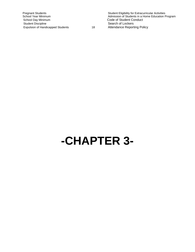Student Discipline<br>
Expulsion of Handicapped Students<br>
Search of Lockers<br>
Attendance Reporting Policy Expulsion of Handicapped Students 18

Pregnant Students **Channel Student Eligibility for Extracurricular Activities**<br>
School Year Minimum **Channel School Year Minimum**<br>
Admission of Students in a Home Education P School Year Minimum **Admission of Students in a Home Education Program**<br>
School Day Minimum **Admission of Student Conduct** Code of Student Conduct<br>Search of Lockers

# **-CHAPTER 3-**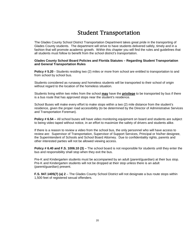# Student Transportation

The Glades County School District Transportation Department takes great pride in the transporting of Glades County students. The department will strive to have students delivered safely, timely and in a fashion that will promote academic growth. Within this chapter you will find the rules and guidelines that all students must follow to benefit from the school district's transportation.

### **Glades County School Board Policies and Florida Statutes – Regarding Student Transportation and General Transportation Rules**

**Policy # 5.20 -** Students residing two (2) miles or more from school are entitled to transportation to and from school by school bus.

Students considered as runaway and homeless students will be transported to their school of origin without regard to the location of the homeless situation.

Students living within two miles from the school **may** have the **privilege** to be transported by bus if there is a bus route that has approved stops near the student's residence.

School Buses will make every effort to make stops within a two (2) mile distance from the student's residence, given the proper road accessibility (to be determined by the Director of Administrative Services and Transportation Foreman).

**Policy # 6.54 –** All school buses will have video monitoring equipment on board and students are subject to being video taped without notice, in an effort to maximize the safety of drivers and students alike.

If there is a reason to review a video from the school bus, the only personnel who will have access to review are: Supervisor of Transportation, Supervisor of Support Services, Principal or his/her designee, the Superintendent of Schools and School Board Attorney. Due to confidentiality rights, parents and other interested parties will not be allowed viewing access.

**Policy # 6.40 and F.S. 1006.10 (3) –** The school board is not responsible for students until they enter the bus and responsibility shall stop when they exit the bus.

Pre-K and Kindergarten students must be accompanied by an adult (parent/guardian) at their bus stop. Pre-K and Kindergarten students will not be dropped at their stop unless there is an adult (parent/guardian) present.

**F.S. 947.1405(7) (a) 2** – The Glades County School District will not designate a bus route stops within 1,500 feet of registered sexual offenders.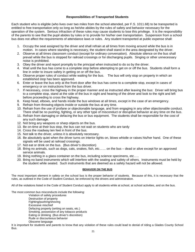### **Responsibilities of Transported Students**

Each student who is eligible (who lives over two miles from the school attended, per F.S. 1011.68) to be transported is entitled to free transportation only so long as he/she abides by the rules of safety and behavior necessary for the operation of the system. Serious infraction of these rules may cause students to lose this privilege. It is the responsibility of the parents to see that the pupil abides by rules or to provide for his/her own transportation. Suspension from a school bus does not affect the requirements of attendance laws or rules. Any student transported at public expense shall:

- 1. Occupy the seat assigned by the driver and shall refrain at all times from moving around while the bus is in motion. In cases where standing is necessary, the student shall stand in the area designated by the driver.
- 2. Observe at all times classroom conduct (except for ordinary conversation). Absolute silence on the bus shall prevail while the bus is stopped for railroad crossings or for discharging pupils. Singing or other unnecessary noise is prohibited.
- 3. Obey the driver and report promptly to the principal when instructed to do so by the driver.
- 4. Wait until the bus has come to a complete stop before attempting to get on or off the bus. Students shall form a line in order to insure safety in getting on or off the bus.
- 5. Observe proper rules of conduct while waiting for the bus. The bus will only stop on property in which an established stop has been approved.
- 6. Enter or leave the bus only at the front door after the bus has come to a complete stop, except in cases of emergency or on instructions from the bus driver.
- 7. If necessary, cross the highway in the proper manner and as instructed after leaving the bus: Driver will bring bus to a complete stop, stand at the side of the bus in sight and hearing of the driver and look to the right and left before proceeding to cross the highway.
- 8. Keep head, elbows, and hands inside the bus windows at all times, except in the case of an emergency.
- 9. Refrain from throwing objects inside or outside the bus at any time.
- 10. Refrain from the use of profane or objectionable language, and from engaging in any other objectionable conduct. There shall be no pushing, fighting, or any other type of misconduct or disruptive behavior at any time on the bus.
- 11. Refrain from damaging or defacing the bus or bus equipment. The students shall be responsible for the cost of any such damage.
- 12. Not bring any weapons or sharp objects on the bus.
- 13. Be on-time at their bus stop, the bus can not wait on students who are tardy
- 14. Cross the roadway ten feet in front of the bus.
- 15. Not talk to the driver, unless it is absolutely necessary.
- 16. Be absolutely quiet when the driver turns on interior lights on, blows whistle or raises his/her hand. One of these signals will be used at railroad crossings.
- 17. Not eat or drink on the bus. (Bus driver's discretion)
- 18. Bring no animals, such as dogs, cats, snakes, fish, etc…… on the bus dead or alive except for an approved service animals.
- 19. Bring nothing in a glass container on the bus, including science specimens, etc…..
- 20. Bring no band instruments which will interfere with the seating and safety of others. Instruments must be held by the student while seated. Such instruments that are deemed as a safety hazard will not be allowed.

### **BEHAVIOR ON THE BUS**

The most important element in safety on the school bus is the proper behavior of students. Because of this, it is necessary that the rules, as outlined in the Code of Student Conduct, be enforced by the drivers and administration.

All of the violations listed in the Code of Student Conduct apply to all students while at school, at school activities, and on the bus.

The most common bus misconducts include the following:

Violation of safety procedures Destruction of property Fighting/pushing/shoving Excessive mischief Defacing property (writing on seats, etc.) Smoking, possession of any tobacco products Eating or drinking (Bus driver's discretion) Rude or discourteous behavior Obscene language

It is important for students and parents to know that any violation of these rules could lead to denial of riding a Glades County School **Bus.** The contract of the contract of the contract of the contract of the contract of the contract of the contract of the contract of the contract of the contract of the contract of the contract of the contract of the con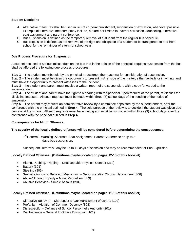### **Student Discipline**

- A. Alternative measures shall be used in lieu of corporal punishment, suspension or expulsion, whenever possible. Example of alternative measures may include, but are not limited to: verbal correction, counseling, alternative seat assignment and parent conference.
- B. Bus Suspension is defined as the temporary removal of a student from the regular bus schedule.
- C. Bus Expulsion is defined as the removal of the right and obligation of a student to be transported to and from school for the remainder of a term of school year.

### **Due Process Procedure for Suspension**

A student accused of serious misconduct on the bus that in the opinion of the principal, requires suspension from the bus shall be afforded the following due process procedures:

**Step 1** – The student must be told by the principal or designee the reason(s) for consideration of suspension.

**Step 2** – The student must be given the opportunity to present his/her side of the matter, either verbally or in writing, and must have the opportunity to present witnesses to the incident.

**Step 3** – the student and parent must receive a written report of the suspension, with a copy forwarded to the superintendent.

**Step 4** – The student and parent have the right to a hearing with the principal, upon request of the parent, to discuss the discipline imposed. All such requests must be made within three (3) school days of the sending of the notice of suspension.

**Step 5** – The parent may request an administrative review by a committee appointed by the superintendent, after the conference with the principal outlined in **Step 4**. The sole purpose of the review is to decide if the student was given due process at the school. All such requests must be in writing and must be submitted within three (3) school days after the conference with the principal outlined in **Step 4**.

### **Consequences for Minor Offenses.**

### **The severity of the locally defined offenses will be considered before determining the consequences.**

1<sup>st</sup> Referral: Warning, Alternate Seat Assignment, Parent Conference or up to 5 days bus suspension.

Subsequent Referrals: May be up to 10 days suspension and may be recommended for Bus Expulsion.

### **Locally Defined Offenses. (Definitions maybe located on pages 12-13 of this booklet)**

- Hitting, Pushing, Tripping Unacceptable Physical Contact (210)
- Battery (301)
- Stealing (305)
- Sexually Annoying Behavior/Misconduct Serious and/or Chronic Harassment (306)
- Abuse/School Property Minor Vandalism (303)
- Abusive Behavior Simple Assault (204)

### **Locally Defined Offenses. (Definitions maybe located on pages 11-13 of this booklet)**

- Disruptive Behavior Disrespect and/or Harassment of Others (102)
- Profanity Violation of Common Decency (308)
- Disrespectful Defiance of School Personnel's Authority (201)
- Disobedience General In-School Disruption (101)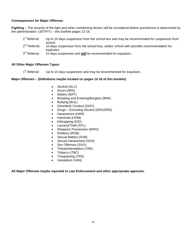### **Consequences for Major Offenses**

**Fighting –** The severity of the fight and other contributing factors will be considered before punishment is determined by the administration. (307/FIT) – this booklet pages 12-16.

- 1<sup>st</sup> Referral: Up to 10 days suspension from the school bus and may be recommended for suspension from school.  $2^{nd}$  Referral: 10 days suspension from the school bus, and/or school with possible recommendation for
- explusion.  $3<sup>rd</sup>$  Referral: 10 days suspension and will be recommended for expulsion.

### **All Other Major Offenses Types:**

1<sup>st</sup> Referral: Up to 10 days suspension and may be recommended for expulsion.

### **Major Offenses – (Definitions maybe located on pages 12-16 of this booklet)**

- Alcohol (ALC)
- Arson (ARS)
- Battery (BAT)
- Breaking and Entering/Burglary (BRK)
- Bullying (BUL)
- Disorderly Conduct (DOC)
- Drugs Excluding Alcohol (DRU/DRD)
- Harassment (HAR)
- Homicide (HOM)
- Kidnapping (KID)
- Larceny/Theft (STL)
- Weapons Possession (WPO)
- Robbery (ROB)
- Sexual Battery (SXB)
- Sexual Harassment (SXH)
- Sex Offenses (SXO)
- Threat/Intimidation (TRE)
- Tobacco (TBC)
- Trespassing (TRS)
- Vandalism (VAN)

**All Major Offenses maybe reported to Law Enforcement and other appropriate agencies.**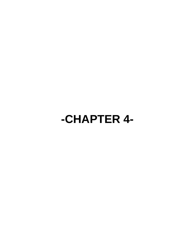# **-CHAPTER 4-**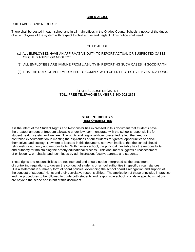### **CHILD ABUSE**

### CHILD ABUSE AND NEGLECT:

There shall be posted in each school and in all main offices in the Glades County Schools a notice of the duties of all employees of the system with respect to child abuse and neglect. This notice shall read:

### CHILD ABUSE

- (1) ALL EMPLOYEES HAVE AN AFFIRMATIVE DUTY TO REPORT ACTUAL OR SUSPECTED CASES OF CHILD ABUSE OR NEGLECT.
- (2) ALL EMPLOYEES ARE IMMUNE FROM LIABILITY IN REPORTING SUCH CASES IN GOOD FAITH.
- (3) IT IS THE DUTY OF ALL EMPLOYEES TO COMPLY WITH CHILD PROTECTIVE INVESTIGATIONS.

### STATE'S ABUSE REGISTRY TOLL FREE TELEPHONE NUMBER 1-800-962-2873

### **STUDENT RIGHTS & RESPONSIBILITIES**

It is the intent of the Student Rights and Responsibilities expressed in this document that students have the greatest amount of freedom allowable under law, commensurate with the school's responsibility for student health, safety, and welfare. The rights and responsibilities presented reflect the need for controlled experimentation in meeting the aspirations of our students for greater opportunities to serve themselves and society. Nowhere is it stated in this document, nor even implied, that the school should relinquish its authority and responsibility. Within every school, the principal inevitably has the responsibility and authority for maintaining the orderly educational process. This document suggests a reassessment of philosophy, emphasis, and techniques by administration, faculty, parents, and students.

These rights and responsibilities are not intended and should not be interpreted as the enactment of controlling regulations to govern the conduct of students or school authorities in specific circumstances. It is a statement in summary form of board policies, evidencing the school board's recognition and support of the concept of students' rights and their correlative responsibilities. The application of these principles in practice and the procedures to be followed to guide both students and responsible school officials in specific situations are beyond the scope and intent of this document.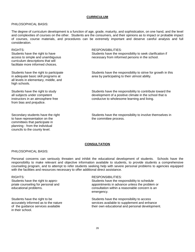### **CURRICULUM**

### PHILOSOPHICAL BASIS:

The degree of curriculum development is a function of age, grade, maturity, and sophistication, on one hand, and the level and complexities of courses on the other. Students are the consumers, and their opinions as to impact or probable impact of courses, course materials, and procedures can be extremely important and deserve careful analysis and full consideration.

curriculum descriptions that will facilitate more informed choices.

all levels in elementary, middle, and high schools.

from bias and prejudice.

to have representation on the the the the committee process. committees that participate in planning - from the individual councils to the county level.

RIGHTS: RESPONSIBILITIES: Students have the right to have Students have the responsibility to seek clarification if<br>access to simple and unambiquous example the responsibility to seek clarification if necessary from informed persons in the school.

Students have the right to participate Students have the responsibility to strive for growth in this in adequate basic skill programs at area by participating to their utmost ability.

Students have the right to study<br>all subjects under competent all subjects under competent of a positive climate in the school that is all subjects under competent development of a positive climate in the school that is<br>instructors in an atmosphere free the conducive to wholesome learning and living. conducive to wholesome learning and living.

Secondary students have the right Students have the responsibility to involve themselves in

### **CONSULTATION**

### PHILOSOPHICAL BASIS:

Personal concerns can seriously threaten and inhibit the educational development of students. Schools have the responsibility to make relevant and objective information available to students, to provide students a comprehensive counseling program, and to attempt to refer students seeking help with severe personal problems to agencies equipped with the facilities and resources necessary to offer additional direct assistance.

in their school.

### RIGHTS: RIGHTS:

Students have the right to appro- Students have the responsibility to schedule appointments in advance unless the problem or educational problems. consultation within a reasonable concern is an emergency.

Students have the right to be Students have the responsibility to access accurately informed as to the nature services available to supplement and enhance<br>of the quidance services available services available to supplement and personal developme their own educational and personal development.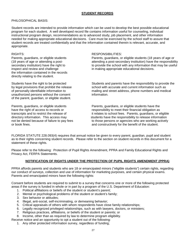### **STUDENT RECORDS**

### PHILOSOPHICAL BASIS:

Student records are intended to provide information which can be used to develop the best possible educational program for each student. A well developed record file contains information useful for counseling, individual instructional program design, recommendations as to advanced study, job placement, and other information needed for making appropriate educational decisions. Care must be exercised by the school staff to assure that student records are treated confidentially and that the information contained therein is relevant, accurate, and appropriate.

RIGHTS:<br>Parents, quardians, or eligible students<br>Parents, quardians, or eligible students<br>Parents, quardians, or the information contained in the records directly relating to the student.

unauthorized persons without the consent of the parent, guardian, or eligible student.

Parents, guardians, or eligible students (18 years of age or (18 years of age or attending a post- attending a post-secondary institution) have the responsibility secondary institution) have the right to the secondary insulful to provide the school with any information that may be useful<br>in making appropriate educational decisions. in making appropriate educational decisions.

Students have the right to be protected Students and parents have the responsibility to provide the by legal provisions that prohibit the release school with accurate and current information such as<br>of personally identifiable information to mailing and street address, phone numbers and medi mailing and street address, phone numbers and medical information.

Parents, guardians, or eligible students Parents, guardians, or eligible students have the have the have the responsibility to meet their financial obligation as have the right of access to records or responsibility to meet their financial obligation as<br>transcripts and to restrict the release of responsibility is relates to school fees. Parents, quardians, or e transcripts and to restrict the release of it relates to school fees. Parents, guardians, or eligible<br>directory information. This access may students have the responsibility to release information students have the responsibility to release information not be denied because of failure to pay fees to those persons or agencies who are working actively<br>and constructively for the benefit of the student. and constructively for the benefit of the student.

FLORIDA STATUTE 228.093(4) requires that annual notice be given to every parent, guardian, pupil and student as to their rights concerning student records. Please refer to the section on student records in this document for a statement of these rights.

Please refer to the following: Protection of Pupil Rights Amendment, PPRA and Family Educational Rights and Privacy Act, FERPA Statements.

### **NOTIFICATION OF RIGHTS UNDER THE PROTECTION OF PUPIL RIGHTS AMENDMENT (PPRA)**

PPRA affords parents and students who are 18 or emancipated minors ("eligible students") certain rights, regarding our conduct of surveys, collection and use of information for marketing purposes, and certain physical exams. Parents and emancipated minors have the following rights:

Consent before students are required to submit to a survey that concerns one or more of the following protected areas if the survey is funded in whole or in part by a program of the U.S. Department of Education:

- 1. Political affiliations or beliefs of the student or student's parent;
- 2. Mental or psychological problems of the student or student's family;
- 3. Sex behavior or attitudes;
- 4. Illegal, anti-social, self-incriminating, or demeaning behavior;
- 5. Critical appraisals of others with whom respondents have close family relationships;
- 6. Legally recognized privileged relationships, such as with lawyers, doctors, or ministers;
- 7. Religious practices, affiliations, or beliefs of the student or parents; or

8. Income, other than as required by law to determine program eligibility.

Receive notice and an opportunity to opt a student out of the following:

1. Any other protected information survey, regardless of funding;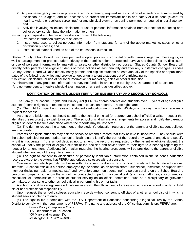- 2. Any non-emergency, invasive physical exam or screening required as a condition of attendance, administered by the school or its agent, and not necessary to protect the immediate health and safety of a student, (except for hearing, vision, or scoliosis screenings) or any physical exam or screening permitted or required under State law; and
- 3. Activities involving collection, disclosure, or use of personal information obtained from students for marketing or to sell or otherwise distribute the information to others.

Inspect, upon request and before administration or use of the following:

- 1. Protected information surveys of students;
- 2. Instruments used to collect personal information from students for any of the above marketing, sales, or other distribution purposes; and
- 3. Instructional material used as part of the educational curriculum.

Glades County School Board has developed and adopted policies, in consultation with parents, regarding these rights, as well as arrangements to protect student privacy in the administration of protected surveys and the collection, disclosure, or use of personal information for marketing, sales, or other distribution purposes. Glades County School Board will directly notify parents and eligible students of these policies at least annually and after any substantive changes. Glades County School Board will also directly notify parents and eligible students at least annually of the specific or approximate dates of the following activities and provide an opportunity to opt a student out of participating in:

\*Collection, disclosure, or use of personal information for marketing, sales or other distribution.

\*Administration of any protected information survey not funded in whole or in part by U.S. Department of Education. \*Any non-emergency, invasive physical examination or screening as described above.

### **NOTIFICATION OF RIGHTS UNDER FERPA FOR ELEMENTARY AND SECONDARY SCHOOLS**

The Family Educational Rights and Privacy Act (FERPA) affords parents and students over 18 years of age ("eligible students") certain rights with respect to the students' education records. These rights are:

(1) The right to inspect and review the student's education records within 45 days of the day the school receives a request for access.

Parents or eligible students should submit to the school principal (or appropriate school official) a written request that identifies the record(s) they wish to inspect. The school official will make arrangements for access and notify the parent or eligible student of the time and place where the records may be inspected.

(2) The right to request the amendment of the student's education records that the parent or eligible student believes are inaccurate.

Parents or eligible students may ask the school to amend a record that they believe is inaccurate. They should write the school principal (or appropriate school official), clearly identify the part of the record they want changed, and specify why it is inaccurate. If the school decides not to amend the record as requested by the parent or eligible student, the school will notify the parent or eligible student of the decision and advise them to their right to a hearing regarding the request for amendment. Additional information regarding the hearing procedures will be provided to the parent or eligible student when notified of the right to a hearing.

(3) The right to consent to disclosures of personally identifiable information contained in the student's education records, except to the extent that FERPA authorizes disclosure without consent.

One exception, which permits disclosure without consent, is disclosure to school officials with legitimate educational interests. A school official is a person employed by the school as an administrator, supervisor, instructor, or support staff member (including health or medical staff and law enforcement unit personnel); a person serving on the School Board; a person or company with whom the school has contracted to perform a special task (such as an attorney, auditor, medical consultant, or therapist); or a parent or student serving on an official committee, such as a disciplinary or grievance committee, or assisting another school official in performing his or her tasks.

A school official has a legitimate educational interest if the official needs to review an education record in order to fulfill his or her professional responsibility.

Upon request, the school discloses education records without consent to officials of another school district in which a student seeks or intends to enroll.

(4) The right to file a complaint with the U.S. Department of Education concerning alleged failures by the School District to comply with the requirements of FERPA. The name and address of the Office that administers FERPA are:

Family Policy Compliance Office U.S. Department of Education 400 Maryland Avenue, SW Washington, DC 20202-4605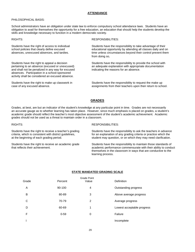### **ATTENDANCE**

### PHILOSOPHICAL BASIS:

School administrators have an obligation under state law to enforce compulsory school attendance laws. Students have an obligation to avail for themselves the opportunity for a free education, an education that should help the students develop the skills and knowledge necessary to function in a modern democratic society.

and shall not be penalized in any way for excused absences. Participation in a school-sponsored activity shall be considered an excused absence.

### RIGHTS: RESPONSIBILITIES:

Students have the right of access to individual Students have the responsibility to take advantage of their school policies that clearly define excused educational opportunity by attending all classes daily and on absences, unexcused absences, and tardies. time unless circumstances beyond their control prevent them from doing so.

Students have the right to appeal a decision Students have the responsibility to provide the school with pertaining to an absence (excused or unexcused) an adequate explanation with appropriate documentation an adequate explanation with appropriate documentation indicating the reasons for an absence.

Students have the right to make up classwork in Students have the responsibility to request the make up case of any excused absence. assignments from their teachers upon their return to school.

### **GRADES**

Grades, at best, are but an indicator of the student's knowledge at any particular point in time. Grades are not necessarily an accurate gauge as to whether learning has taken place. However, since much emphasis is placed on grades, a student's academic grade should reflect the teacher's most objective assessment of the student's academic achievement. Academic grades should not be used as a threat to maintain order in a classroom.

### RIGHTS: RESPONSIBILITIES:

Students have the right to receive a teacher's grading Students have the responsibility to ask the teachers in advance<br>Students are sponsistent with district quidelines, contained to rean explanation of any grading criteri for an explanation of any grading criteria or practice which the at the beginning of each grading period. student may question, or on which they may need clarification.

Students have the right to receive an academic grade Students have the responsibility to maintain those standards of that reflects their achievement. academic performance commensurate with their ability to conduct themselves in the classroom in ways that are conductive to the learning process.

### **STATE MANDATED GRADING SCALE**

| Grade | Percent  | <b>Grade Point</b><br>Value | <b>Definition</b>          |
|-------|----------|-----------------------------|----------------------------|
| A     | 90-100   | 4                           | Outstanding progress       |
| B     | 80-89    | 3                           | Above average progress     |
| С     | 70-79    | $\overline{2}$              | Average progress           |
| D     | 60-69    | 1                           | Lowest acceptable progress |
| F     | $0 - 59$ | $\mathbf 0$                 | Failure                    |
|       |          |                             | Incomplete                 |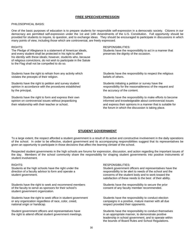### **FREE SPEECH/EXPRESSION**

### PHILOSOPHICAL BASIS:

One of the basic purposes of education is to prepare students for responsible self-expression in a democratic society. Citizens in our democracy are permitted self-expression under the 1st and 14th Amendments of the U.S. Constitution. Full opportunity should be provided for students to inquire, to question, and to exchange ideas. They should be encouraged to participate in discussions in which many points of view, including those which are controversial, are freely expressed.

RIGHTS:<br>The Pledge of Allegiance is a statement of American ideals, Students have the res and every student shall be protected in his right to affirm preserves the dignity of the occasion. his identity with these ideals; however, students who, because of religious convictions, do not wish to participate in the Salute to the Flag shall not be compelled to do so.

Students have the right to refrain from any activity which Students have the responsibility to respect the religious<br>violates the precepts of their religion.<br>beliefs of others. violates the precepts of their religion.

Students have the right to petition and survey student Students initiating a petition or survey have the opinion in accordance with the procedures established opinion in accordance with the procedures established responsib by the principal. the accuracy of the content.

Students have the responsibility to act in a manner that

responsibility for the reasonableness of the request and

Students have the right to form and express their own Students have the responsibility to make efforts to become opinion on controversial issues without jeopardizing informed and knowledgeable about controversial issues their relationship with their teacher or school. and express their opinions in a manner that is suitable for the forum in which the discussion is taking place.

### **STUDENT GOVERNMENT**

To a large extent, the respect afforded a student government is a result of its active and constructive involvement in the daily operations of the school. In order to be effective, student government and its accompanying responsibilities suggest that its representatives be given an opportunity to participate in those decisions that affect the learning climate of the school.

Respected student governments in the high schools are forums for expression, discussion, and action regarding the important issues of the day. Members of the school community share the responsibility for shaping student governments into positive instruments of student involvement.

RIGHTS:<br>Students at the high schools have the right under the **RESPONSIBILITIES:**<br>Student government of

Students have the right to seek and recommend members Students have the responsibility to secure the prior<br>
Students have the responsibility to serve as sponsors for their school's<br>
Students have the responsibility to serv of the faculty to serve as sponsors for their school's student government organization.

Students have the right to seek office in student government Students have the responsibility to conduct election<br>or any organization regardless of race, color, creed, color campaigns in a positive, mature manner with all or any organization regardless of race, color, creed, national origin or handicap.

Student government officers and representatives have Students have the responsibility to conduct themselves<br>
the right to attend official student government meetings.<br>
in an appropriate manner, to demonstrate positive the right to attend official student government meetings.

Students at the high schools have the right under the Student government officers and representatives have the direction of a faculty advisor to form and operate a<br>
Student government officers and representatives have the direction of a faculty advisor to form and operate a responsibility to be alert to needs of the school and the<br>student government. concerns of the student body and to work toward the satisfaction of these needs to the best of their ability.

respect provided their opponents.

leadership in school government, and to operate within the bounds of Board Rules and School Regulations.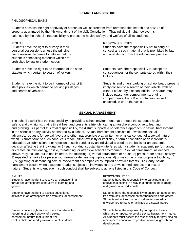### **SEARCH AND SEIZURE**

### PHILOSOPHICAL BASIS:

Students possess the right of privacy of person as well as freedom from unreasonable search and seizure of property guaranteed by the 4th Amendment of the U.S. Constitution. That individual right, however, is balanced by the school's responsibility to protect the health, safety, and welfare of all its students.

RIGHTS:<br>Students have the right to privacy in their<br>Students have the res student is concealing materials which are prohibited by law or student codes.

Students have the right to be informed of the state Students have the responsibility to accept the statutes which pertain to search of lockers. consequences for the contents stored within their

state policies which pertain to parking privileges in the imply consent to a search of their vehicle, with or<br>
inply consent to a search of their vehicles.<br>
without cause, by a school official. A search may

Students have the responsibility not to carry or personal possessions unless the principal conceal any such material that is prohibited by law has a reasonable cause to believe that the or would detract from the educational process.

lockers.

Students have the right to be informed of district & Students and others parking on school board property state policies which pertain to parking privileges imply consent to a search of their vehicle, with or without cause, by a school official. A search may include passenger compartments, engine compartments, trunk & all containers, locked or unlocked, in or on the vehicle.

### **SEXUAL HARASSMENT**

The school district has the responsibility to provide a school environment that protects the student's health, safety, and civil rights; that is threat free; and presents a friendly, caring atmosphere conducive to learning and growing. As part of this total responsibility, the district supports a no tolerance approach to sexual harassment in the schools or any activity sponsored by a school. Sexual harassment consists of unwelcome sexual advances, requests for sexual favors and other inappropriate oral, written, or physical conduct of a sexual nature when 1) submission to such conduct is made, either explicitly or implicitly, a term or condition of an individual's education; 2) submission to or rejection of such conduct by an individual is used as the basis for an academic decision affecting that individual; or 3) such conduct substantially interferes with a student's academic performance, or creates an intimidating, hostile, threatening, or offensive school environment. Sexual harassment, as defined above, may include, but is not limited to, the following: 1) verbal harassment or abuse; 2) pressure for sexual activity; 3) repeated remarks to a person with sexual or demeaning implications; 4) unwelcome or inappropriate touching; 5) suggesting or demanding sexual involvement accompanied by implied or explicit threats. To clarify, sexual harassment occurs when a student or adult subjects an individual to any unwelcomed conduct of a sexual nature. Students who engage in such conduct shall be subject to actions listed in this Code of Conduct.

Students have the right to receive an education in a Students have the responsibility to participate in the growth. **and growth** of all individuals.

activities in an atmosphere free from sexual harassment.

### RIGHTS: RESPONSIBILITIES:

threat free atmosphere conducive to learning and educational setting in a way that supports the learning

Students have the right to access educational Students have the responsibility to ensure an atmosphere<br>
Students have the responsibility to ensure an atmosphere free from sexual harassment for themselves and others. Students will not support or condone unwanted or unwelcomed remarks or activites of a sexual nature.

Students have a right to a recourse that allows for Students have the responsibility to report activities<br>
reporting of alleged activity of a sexual<br>
reporting of alleged activity of a sexual reporting of alleged activity of a sexual which are or appear to be of a sexual harassment nature.<br>
reporting of all students must accept the responsibility for providing and harassment nature that is threat free, harassment nature that is threat free,<br>
confidential, and readily available to all students.<br>
All students must accept the responsibility for providing an<br>
atmosphere conducive to positive individual growth and atmosphere conducive to positive individual growth and development.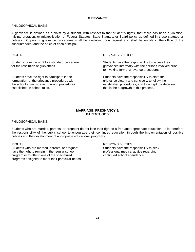### **GRIEVANCE**

### PHILOSOPHICAL BASIS:

A grievance is defined as a claim by a student, with respect to that student's rights, that there has been a violation, misinterpretation, or misapplication of Federal Statutes, State Statutes, or Board policy as defined in those statutes or policies. Copies of grievance procedures shall be available upon request and shall be on file in the office of the superintendent and the office of each principal.

Students have the right to a standard procedure Students have the responsibility to discuss their

formulation of the grievance procedures with<br>the school administration through procedures

### RIGHTS: RESPONSIBILITIES:

for the resolution of grievances. grievances informally with the persons involved prior to invoking formal grievance procedures.

Students have the right to participate in the Students have the responsibility to state the Students have the responsibility to state the state the state the state the state the state the state the state the state the stat the school administration through procedures established procedures, and to accept the decision<br>established in school rules.<br>established in school rules. that is the outgrowth of this process.

### **MARRIAGE, PREGNANCY & PARENTHOOD**

### PHILOSOPHICAL BASIS:

Students who are married, parents, or pregnant do not lose their right to a free and appropriate education. It is therefore the responsibility of the public school to encourage their continued education through the implementation of positive policies and the development of appropriate educational programs.

Students who are married, parents, or pregnant Students have the responsibility to seek have the right to remain in the regular school professional medical advice regarding program or to attend one of the specialized continued school attendance. programs designed to meet their particular needs.

### RIGHTS: RIGHTS: RIGHTS: RESPONSIBILITIES: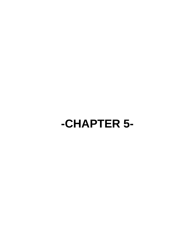# **-CHAPTER 5-**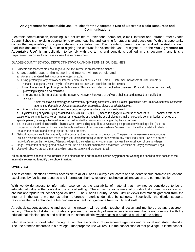### **An Agreement for Acceptable Use: Policies for the Acceptable Use of Electronic Media Resources and Communications**

Electronic communication, including, but not limited to, telephone, computer, e-mail, Internet and Intranet, offer Glades County Schools an exciting opportunity to expand teaching and learning for students and educators. With this opportunity comes the responsibility for appropriate and acceptable use. Each student, parent, teacher, and administrator should read this document carefully prior to signing the contract for Acceptable Use. A signature on the **"An Agreement for Acceptable Use"** is an obligation to comply with the terms and conditions outlined in this document, and it is a requirement in order to access or use these resources.

### GLADES COUNTY SCHOOL DISTRICT NETWORK AND INTERNET GUIDELINES

- 1. Students and teachers are encouraged to use; the Internet in an acceptable manner.
- 2. Unacceptable uses of the network and Internet will not be tolerated:
- a. Accessing material that is obscene or objectionable.
	- b. Using profanity in any network or Internet communication such as E-mail. Hate mail, harassment, discriminatory remarks or language, which may be offensive to other users, are prohibited on the network.
	- c. Using the system to profit or promote business. This also includes product advertisement. Political lobbying or unlawfully promoting religion is also prohibited.
	- d. The attempt to harm or destroy the network. Network hardware or software shall not be destroyed or modified in any way.

### Users must avoid knowingly or inadvertently spreading computer viruses. Do not upload files from unknown sources. *Deliberate*  attempts to *degrade or disrupt system performance will be* viewed as *criminal activity.*

e. Attempts to infiltrate or break into other computer systems where use is not authorized.

f. Cyberstalking or cyberbullying as defined in s. 784.048(1)(d), F.S., means to engage in a course of conduct to communicate, or to cause to be communicated, words, images, or language by or through the use of electronic mail or electronic communication, directed at a specific person, causing substantial emotional distress to that person and serving no legitimate purpose.

- 3. The instructor's permission should be obtained when downloading large files. Downloading is a procedure where large files (such as copies of public domain software) can be obtained from other computer systems. Viruses (which have the capability to destroy data on the network) and storage space can be a problem.
- 4. Network accounts are to be used only by the proper authorized owner of the account. The person in whose name an account is issued is responsible at all times for its proper use. Users must not give their password to any other individual. Use of another individual's account is prohibited. Attempts to log in to the system as any other user may result in cancellation of user privileges.
- 5. Illegal installation of copyrighted software for use on a district computer is not allowed. Violations of Copyright laws are illegal.
- 6. Users will observe proper e-mail use, which ensures safety and protection to all.

**All students have access to the Internet in the classrooms and the media center. Any parent not wanting their child to have access to the Internet is requested to notify the school in writing.**

### **OVERVIEW**

The telecommunications network accessible to all of Glades County's educators and students should promote educational excellence by facilitating resource and information sharing, research, technological innovation and communication.

With worldwide access to information also comes the availability of material that may not be considered to be of educational value in the context of the school setting. There may be some material or individual communications which are not appropriate for school-aged children. The Glades County School District views information gathered from the Internet in the same manner as other reference materials identified by schools. Specifically, the district supports resources that will enhance the learning environment with guidance from faculty and staff.

At school, student access to and use of the network will be under teacher direction and monitored as any classroom activity. The school district is not able to prevent the possibility of user access to material that is not consistent with the educational mission, goals and policies of the school district when access is obtained outside of the school.

Internet access is coordinated through a complex association of government agencies and regional and state networks. The use of these resources is a privilege. Inappropriate use will result in the cancellation of that privilege. It is the school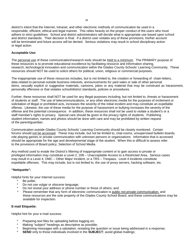district's intent that the Internet, Intranet, and other electronic methods of communication be used in a responsible, efficient, ethical and legal manner. This relies heavily on the proper conduct of the users who must adhere to strict guidelines. School and district administrators will decide what is appropriate use based upon school and district standards. Their decision is final. If a district user violates any of these provisions, his/her account will be terminated and future access will be denied. Serious violations may result in school disciplinary action or legal action.

### **Acceptable Use:**

The personal use of these communication/research tools should be held to a minimum. The PRIMARY purpose of these resources is to promote educational excellence by facilitating resource and information sharing, research, technological innovation and communication within the Glades County Schools' Learning Community. These resources should NOT be used to solicit others for political, union, religious or commercial purposes.

The inappropriate use of these resources includes, but is not limited to, the creation or forwarding of chain-letters, data related to personal outside business interests, announcements for yard sales or sale of other personal items, sexually explicit or suggestive materials, cartoons, jokes or any material that may be construed as harassment, personally offensive or that violates school/district standards, policies or procedures.

Further, these resources shall NOT be used for any illegal purposes including, but not limited to, threats or harassment of students or staff. The use of telecommunications, or any other electronic media for the purposes of incitement or solicitation of illegal or prohibited acts, increases the severity of the initial incident and may constitute an expellable offense. Likewise, the use of these media for the purpose of harassment or bullying increases the severity of the offense and the potential consequence. In addition, these resources shall not be used to violate a student's or a staff member's rights to privacy. Special care should be given to the privacy rights of students. Publishing student information, names and photos should be done with care and may be prohibited by written request of the parent/guardian.

Communication outside Glades County Schools' Learning Community should be closely monitored. Certain forums should not be accessed. These may include, but not be limited to, chat-rooms, unsupervised bulletin boards, role playing games or private communication with unknown persons or organizations. Information that is accessed should be appropriate for the age and developmental stage of the student. When this is difficult to assess refer to the provisions of Board policy, Selection of School Media.

Any method used to evade the District's filtering of inappropriate content or to gain access to private or privileged information may constitute a Level 2, 208 – Unacceptable Access to a Restricted Area. Serious cases may result in a Level 4, OMC – Other Major Incident, or a TRS – Trespass. Level 4 incidents constitute expellable offenses. This may include, but is not limited to, the use of proxy servers, hacking software, etc.

### **"Netiquette":**

Helpful hints for your Internet success:

- \* Be polite;
- Do not use vulgar or obscene language;
- Do not reveal your address or phone number or those of others; and
- Please remember that any form of electronic communication is public not private communication, and these resources are the sole property of the Glades County School Board, and these communications may be available for inspection.

### **E-mail Etiquette:**

Helpful hint for your e-mail success:

- Preparing text files for uploading before logging on;
- Making "subject" headings as descriptive as possible;
- Beginning messages with a salutation; restating the question or issue being addressed in a response;
- **SEND** only to those individuals involved in the **SUBJECT**; avoid global mailings;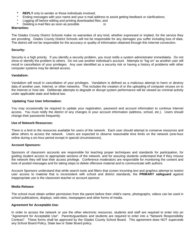- **REPLY** only to sender or those individuals involved;
- Ending messages with your name and your e-mail address to assist getting feedback or clarifications;
- Logging off before editing and printing downloaded files; and
- Deleting e-mail files as soon as possible. 35

### **Warranties:**

The Glades County District Schools make no warranties of any kind, whether expressed or implied, for the service they are providing. Glades County District Schools will not be responsible for any damages you suffer including loss of data. The district will not be responsible for the accuracy or quality of information obtained through this Internet connection.

### **Security:**

Security is a high priority. If you identify a security problem, you must notify a system administrator immediately. Do not show or identify the problem to others. Do not use another individual's account. Attempts to "log on" as another user will result in cancellation of your privileges. Any user identified as a security risk or having a history of problems with other computer systems may be denied access.

### **Vandalism:**

Vandalism will result in cancellation of your privileges. Vandalism is defined as a malicious attempt to harm or destroy data of another user, Internet, or other networks. This includes the creation of or the uploading of computer viruses on to the Internet or host site. Deliberate attempts to degrade or disrupt system performance will be viewed as criminal activity under applicable state and federal law.

### **Updating Your User Information:**

You may occasionally be required to update your registration, password and account information to continue Internet access. You must notify the district of any changes in your account information (address, school, etc.). Users should change their passwords frequently.

### **Use of Network Resources:**

There is a limit to the resources available for users of the network. Each user should attempt to conserve resources and allow others to access the network. Users are expected to observe reasonable time limits on the network (one-hour online during a six-hour period except in special circumstances).

### **Account Sponsors:**

Sponsors of classroom accounts are responsible for teaching proper techniques and standards for participation, for guiding student access to appropriate sections of the network, and for assuring students understand that if they misuse the network they will lose their access privilege. Conference moderators are responsible for monitoring the content and tone of posted messages and for taking steps to delete offensive material and to communicate with authors.

Account Sponsors understand that while search tools and filters that screen incoming text and graphics attempt to restrict user access to material that is inconsistent with school and district standards, the **PRIMARY safeguard** against inappropriate use is the classroom teacher or account sponsor.

### **Media Release:**

The school must obtain written permission from the parent before their child's name, photographs, videos can be used in school publications, displays, web-sites, newspapers and other forms of media.

### **Agreement for Acceptable Use:**

In order to access the network or use the other electronic resources, students and staff are required to enter into an "Agreement for Acceptable Use". Parents/guardians and students are required to enter into a "Network Responsibility Contract". These forms shall be approved by the Glades County School Board. This agreement does NOT supercede any School Board Policy, State law or State Board policy.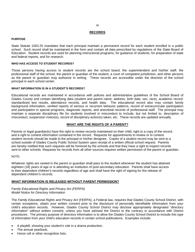### **RECORDS**

### **PURPOSE**

State Statute 1003.25 mandates that each principal maintain a permanent record for each student enrolled in a public school. Such record shall be maintained in the form and contain all data prescribed by regulations of the State Board of Education. Student records are used for planning instructional programs, for guidance of students, for preparation of state and federal reports, and for research.

### **WHO HAS ACCESS TO STUDENT RECORDS?**

Those persons having access to student records are the school board, the superintendent and his/her staff, the professional staff of the school, the parent or guardian of the student, a court of competent jurisdiction, and other persons as the parent or guardian may authorize in writing. These records are accessible under the direction of the school principal in each school center.

### **WHAT INFORMATION IS IN A STUDENT'S RECORDS?**

Educational records are maintained in accordance with policies and administrative guidelines of the School Board of Glades County and contain identifying data (student and parent name, address, birth date, sex, race), academic record, standardized test results, attendance records, and health data. The educational record also may contain family background information, verified reports of serious or recurrent behavior patterns, record of extracurricular participation and participation in special programs, diagnostic reports, and anecdotal records of professional staff. The principal may maintain a separate disciplinary file for students involved in misconduct to include, but not limited to, description of misconduct, suspension notice(s), record of disciplinary action(s) taken, etc. These records are updated annually.

### **WHAT ARE THE RIGHTS OF A PARENT?**

Parents or legal guardian(s) have the right to review records maintained on their child, right to a copy of the record, and a right to contest information contained in the record. Requests for appointments to review or to contest student records should be made to the principal or his/her designee. Copies of a student record may be sent to a school outside of Glades County Public School System upon receipt of a written official school request. Parents are hereby notified that such requests will be honored by the schools and that they have a right to inspect records sent to other schools. Requests for records from all other sources requires written permission of the parent or guardian.

### NOTE:

Whatever rights are vested in the parent or guardian shall pass to the student whenever the student has attained eighteen (18) years of age or is attending an institution of post-secondary education. Parents shall have access to their dependent children's records regardless of age and shall have the right of signing for the release of dependent children's records.

### **WHAT INFORMATION IS RELEASED WITHOUT PARENT PERMISSION?**

*Family Educational Rights and Privacy Act (FERPA) Model Notice for Directory Information* 

The *Family Educational Rights and Privacy Act* (FERPA), a Federal law, requires that Glades County School District, with certain exceptions, obtain your written consent prior to the disclosure of personally identifiable information from your child's education records. However, Glades County School District may disclose appropriately designated "directory information" without written consent, unless you have advised the District to the contrary in accordance with District procedures. The primary purpose of directory information is to allow the Glades County School District to include this type of information from your child's education records in certain school publications. Examples include:

- A playbill, showing your student's role in a drama production;
- The annual yearbook;
- Honor roll or other recognition lists;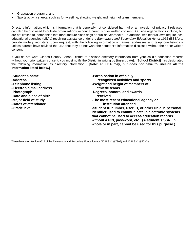- Graduation programs; and
- Sports activity sheets, such as for wrestling, showing weight and height of team members.

37

Directory information, which is information that is generally not considered harmful or an invasion of privacy if released, can also be disclosed to outside organizations without a parent's prior written consent. Outside organizations include, but are not limited to, companies that manufacture class rings or publish yearbooks. In addition, two federal laws require local educational agencies (LEAs) receiving assistance under the *Elementary and Secondary Education Act of 1965* (ESEA) to provide military recruiters, upon request, with the following information – names, addresses and telephone listings – unless parents have advised the LEA that they do not want their student's information disclosed without their prior written consent.

If you do not want Glades County School District to disclose directory information from your child's education records without your prior written consent, you must notify the District in writing by [**insert date**]. [**School District**] has designated the following information as directory information: [**Note: an LEA may, but does not have to, include all the information listed below.**]

| -Student's name<br>-Address<br>-Telephone listing<br>-Electronic mail address<br>-Photograph<br>-Date and place of birth<br>-Major field of study<br>-Dates of attendance<br>-Grade level | -Participation in officially<br>recognized activities and sports<br>-Weight and height of members of<br>athletic teams<br>-Degrees, honors, and awards<br>received<br>-The most recent educational agency or<br>institution attended<br>-Student ID number, user ID, or other unique personal<br>identifier used to communicate in electronic systems<br>that cannot be used to access education records<br>without a PIN, password, etc. (A student's SSN, in<br>whole or in part, cannot be used for this purpose.) |
|-------------------------------------------------------------------------------------------------------------------------------------------------------------------------------------------|-----------------------------------------------------------------------------------------------------------------------------------------------------------------------------------------------------------------------------------------------------------------------------------------------------------------------------------------------------------------------------------------------------------------------------------------------------------------------------------------------------------------------|
|-------------------------------------------------------------------------------------------------------------------------------------------------------------------------------------------|-----------------------------------------------------------------------------------------------------------------------------------------------------------------------------------------------------------------------------------------------------------------------------------------------------------------------------------------------------------------------------------------------------------------------------------------------------------------------------------------------------------------------|

These laws are: Section 9528 of the Elementary and Secondary Education Act (20 U.S.C. § 7908) and 10 U.S.C. § 503(c).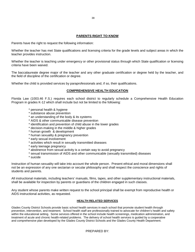### **PARENTS RIGHT TO KNOW**

Parents have the right to request the following information:

Whether the teacher has met State qualifications and licensing criteria for the grade levels and subject areas in which the teacher provides instruction.

Whether the teacher is teaching under emergency or other provisional status through which State qualification or licensing criteria have been waived.

The baccalaureate degree major of the teacher and any other graduate certification or degree held by the teacher, and the field of discipline of the certification or degree.

Whether the child is provided services by paraprofessionals and, if so, their qualifications.

### **COMPREHENSIVE HEALTH EDUCATION**

Florida Law (1003.46 F.S.) requires each school district to regularly schedule a Comprehensive Health Education Program in grades K-12 which shall include but not be limited to the following:

- \* personal health & hygiene
- \* substance abuse prevention
- \* an understanding of the body & its systems
- \* AIDS & other communicable disease prevention
- \* identification and prevention of child abuse in the lower grades
- \* decision-making in the middle & higher grades
- \* human growth & development
- \* human sexuality & pregnancy prevention
- \* early sexual involvement
- \* activities which result in sexually transmitted diseases
- \* early teenage pregnancy
- \* abstinence from sexual activity is a certain way to avoid pregnancy
- \* sexual transmission of AIDS and other communicable (sexually transmitted) diseases
- \* suicide

Instruction of human sexuality will take into account the whole person. Present ethical and moral dimensions shall not be an expression of any one sectarian or secular philosophy and shall respect the conscience and rights of students and parents.

All instructional materials, including teachers' manuals, films, tapes, and other supplementary instructional materials, shall be available for inspection by parents or guardians of the children engaged in such classes.

Any student whose parents make written request to the school principal shall be exempt from reproductive health or AIDS instructional activities, as requested.

### **HEALTH RELATED SERVICES**

Glades County District Schools provide basic school health services in each school that promote student health through prevention, intervention, and treatment. School health staff are professionally trained to advocate for children's health and safety within the educational setting. Some services offered in the school include health screenings, medication administration, and treatment of acute and chronic health-related problems. The delivery of school health services is guided by a cooperative and comprehensive plan developed by the Glades County District Schools and the Glades County Health Department.

### PREPARED BY: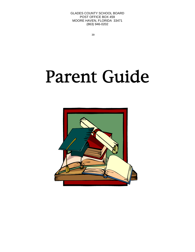GLADES COUNTY SCHOOL BOARD POST OFFICE BOX 459 MOORE HAVEN, FLORIDA 33471 (863) 946-0202

39

# Parent Guide

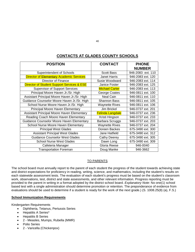### **CONTACTS AT GLADES COUNTY SCHOOLS**

| <b>POSITION</b>                                       | <b>CONTACT</b>          | <b>PHONE</b><br><b>NUMBER</b> |
|-------------------------------------------------------|-------------------------|-------------------------------|
| <b>Superintendent of Schools</b>                      | <b>Scott Bass</b>       | 946-2083 ext. 110             |
| Director of Elementary Academic Services              | <b>Janet Harris</b>     | 946-2083 ext. 120             |
| Director of Finance                                   | Susie Woodward          | 946-2083 ext. 114             |
| <b>Director of Student Support Services &amp; ESE</b> | Janice Foster           | 946-2083 ext. 125             |
| <b>Supervisor of Support Services</b>                 | <b>Michael Carter</b>   | 946-2083 ext. 113             |
| Principal Moore Haven Jr./Sr. High                    | George Coates           | 946-0811 ext. 100             |
| Assistant Principal Moore Haven Jr./Sr. High          | <b>Neal Cain</b>        | 946-0811 ext. 110             |
| Guidance Counselor Moore Haven Jr./Sr. High           | <b>Shannon Bass</b>     | 946-0811 ext. 105             |
| School Nurse Moore Haven Jr./Sr. High                 | <b>Waynette Rives</b>   | 946-0811 ext. 106             |
| Principal Moore Haven Elementary                      | Jim Brickel             | 946-0737 ext. 201             |
| Assistant Principal Moore Haven Elementary            | <b>Felinda Langdale</b> | 946-0737 ext. 236             |
| Reading Coach Moore Haven Elementary                  | Kristi Hingson          | 946-0737 ext. 233             |
| Guidance Counselor Moore Haven Elementary             | Barbara Scruggs         | 946-0737 ext. 203             |
| School Nurse Moore Haven Elementary                   | <b>Waynette Rives</b>   | 946-0737 ext. 204             |
| <b>Principal West Glades</b>                          | Doreen Backes           | 675-3490 ext. 300             |
| <b>Assistant Principal West Glades</b>                | Jane Hatfield           | 675-3490 ext. 312             |
| <b>Guidance Counselor West Glades</b>                 | <b>Cathy Deerey</b>     | 675-3490 ext. 305             |
| <b>School Nurse West Glades</b>                       | Dawn Long               | 675-3490 ext. 309             |
| Cafeteria Manager                                     | Gloria Reese            | 946-0040                      |
| <b>Transportation Foreman</b>                         | Doug Manke              | 946-3662                      |

### TO PARENTS

The school board must annually report to the parent of each student the progress of the student towards achieving state and district expectations for proficiency in reading, writing, science, and mathematics, including the student's results on each statewide assessment tests. The evaluation of each student's progress must be based on the student's classroom work, observations, test, district and state assessments, and other relevant information. Progress reporting must be provided to the parent in writing in a format adopted by the district school board. *Explanatory Note*: No one(1) school based test with a single administration should determine promotion or retention. The preponderance of evidence from evaluations should be used to determine if a student is ready for the work of the next grade.) (S. 1008.25(8) (a), F.S.)

### **School Immunization Requirements**

Kindergarten Requirements

- Diphtheria, Tetanus, Pertussis Series
- Hepatitis A Series\*
- Hepatitis B Series
- 2 Measles, Mumps, Rubella (MMR)
- Polio Series
- 2 Varicella (Chickenpox)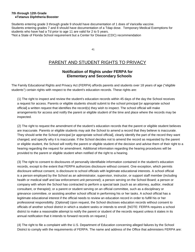### **7th through 12th Grade ●Tetanus Diphtheria Booster**

Students entering grade 3 through grade 9 should have documentation of 1 does of Varicella vaccine. Students entering grades 7 and 8 should have documentation of a Tdap dose. Temporary Medical Exemptions for students who have had a Td prior to age 11 are valid for 2 to 5 years. \*Not a State of Florida School requirement but a Center for Disease (CDC) recommendation

41

# PARENT AND STUDENT RIGHTS TO PRIVACY

### **Notification of Rights under FERPA for Elementary and Secondary Schools**

The Family Educational Rights and Privacy Act (FERPA) affords parents and students over 18 years of age ("eligible students") certain rights with respect to the student's education records. These rights are:

(1) The right to inspect and review the student's education records within 45 days of the day the School receives a request for access. Parents or eligible students should submit to the school principal [or appropriate school official] a written request that identifies the record(s) they wish to inspect. The school official will make arrangements for access and notify the parent or eligible student of the time and place where the records may be inspected.

(2) The right to request the amendment of the student's education records that the parent or eligible student believes are inaccurate. Parents or eligible students may ask the School to amend a record that they believe is inaccurate. They should write the School principal [or appropriate school official], clearly identify the part of the record they want changed, and specify why it is inaccurate. If the School decides not to amend the record as requested by the parent or eligible student, the School will notify the parent or eligible student of the decision and advise them of their right to a hearing regarding the request for amendment. Additional information regarding the hearing procedures will be provided to the parent or eligible student when notified of the right to a hearing.

(3) The right to consent to disclosures of personally identifiable information contained in the student's education records, except to the extent that FERPA authorizes disclosure without consent. One exception, which permits disclosure without consent, is disclosure to school officials with legitimate educational interests. A school official is a person employed by the School as an administrator, supervisor, instructor, or support staff member (including health or medical staff and law enforcement unit personnel); a person serving on the School Board; a person or company with whom the School has contracted to perform a special task (such as an attorney, auditor, medical consultant, or therapist); or a parent or student serving on an official committee, such as a disciplinary or grievance committee, or assisting another school official in performing his or her tasks. A school official has a legitimate educational interest if the official needs to review an education record in order to fulfill his or her professional responsibility. [Optional] Upon request, the School discloses education records without consent to officials of another school district in which a student seeks or intends to enroll. [NOTE: FERPA requires a school district to make a reasonable attempt to notify the parent or student of the records request unless it states in its annual notification that it intends to forward records on request.]

(4) The right to file a complaint with the U.S. Department of Education concerning alleged failures by the School District to comply with the requirements of FERPA. The name and address of the Office that administers FERPA are: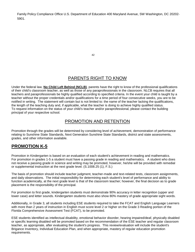Family Policy Compliance Office U.S. Department of Education 400 Maryland Avenue, SW Washington, DC 20202- 5901.

42

# PARENTS RIGHT TO KNOW

Under the federal law, **No Child Left Behind (NCLB)**, parents have the right to know of the professional qualifications of their child's classroom teacher, as well as those of any paraprofessionals in the classroom. NLCB requires that all teachers and paraprofessionals be highly qualified according to specified criteria. In the event your child is taught by a teacher without the proper credentials and/or qualifications for a time period of four consecutive weeks, you are to be notified in writing. The statement will contain but is not limited to: the name of the teacher lacking the qualifications, the length of the teaching duty and, if applicable, what the teacher is doing to achieve highly qualified status. To request information on the status of your child's teacher and/or paraprofessional, please contact the building principal of your respective school.

# PROMOTION AND RETENTION

Promotion through the grades will be determined by considering level of achievement, demonstration of performance relating to Sunshine State Standards, Next Generation Sunshine State Standards, district and state assessments, grades, and other information available.

# **PROMOTION K-5**

Promotion in Kindergarten is based on an evaluation of each student's achievement in reading and mathematics. For promotion in grades 1-5 a student must have a passing grade in reading and mathematics. A student who does not receive a passing grade in science and writing may be promoted, however, he/she will be provided with remedial or supplemental instruction at the next grade level. (S.1008.25 (1), F.S.)

The basis of promotion should include teacher judgment, teacher-made and text-related tests, classroom assignments, and daily observations. The initial responsibility for determining each student's level of performance and ability to function academically, at the next grade level is that of the classroom teacher; however, the final decision as to grade placement is the responsibility of the principal.

For promotion to first grade, kindergarten students must demonstrate 90% accuracy in letter recognition (upper and lower case) and letter sounds. Kindergarten students must also show 80% mastery of grade appropriate sight words.

Additionally, in Grade 3, all students including ESE students required to take the FCAT and English Language Learners with more than 2 years of instruction in English must score level 2 or higher on the Grade 3 Reading portion of the Florida Comprehensive Assessment Test (FCAT), to be promoted.

ESE students identified as intellectual disability, emotional behavior disorder, hearing impaired/deaf, physically disabled or specific learning disabled will be promoted based on the recommendation of the ESE teacher and regular classroom teacher, as appropriate, after evaluating the student's progress. This review/evaluation will include the student's Brigance Inventory, Individual Education Plan, and when appropriate, mastery of regular education promotion requirements.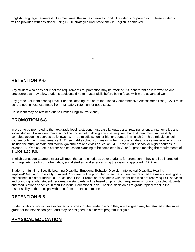English Language Learners (ELLs) must meet the same criteria as non-ELL students for promotion. These students will be provided with assistance using ESOL strategies until proficiency in English is achieved.

```
 43
```
# **RETENTION K-5**

Any student who does not meet the requirements for promotion may be retained. Student retention is viewed as one procedure that may allow students additional time to master skills before being faced with more advanced work.

Any grade 3 student scoring Level 1 on the Reading Portion of the Florida Comprehensive Assessment Test (FCAT) must be retained, unless exempted from mandatory retention for good cause.

No student may be retained due to Limited English Proficiency.

# **PROMOTION 6-8**

In order to be promoted to the next grade level, a student must pass language arts, reading, science, mathematics and social studies. Promotion from a school composed of middle grades 6-8 requires that a student must successfully complete academic courses as follows: 1. Three middle school or higher courses in English 2. Three middle school courses or higher in mathematics 3. Three middle school courses or higher in social studies, one semester of which must include the study of state and federal government and civics education. 4. Three middle school or higher courses in science. 5. One course in career and education planning to be completed in  $7<sup>th</sup>$  or  $8<sup>th</sup>$  grade meeting the requirements of S. 1003.4156, F.S.

English Language Learners (ELL) will meet the same criteria as other students for promotion. They shall be instructed in language arts, reading, mathematics, social studies, and science using the district's approved LEP Plan.

Students in full-time Specific Learning Disability, Emotional Behavior Disorder, Intellectual Disability, Hearing Impaired/Deaf, and Physically Disabled Programs will be promoted when the student has reached the instructional goals established in his/her Individual Educational Plan. Promotion of students with disabilities who are receiving ESE services and pursuing regular student performance standards will be based on promotion requirements for non-disabled students and modifications specified in their Individual Educational Plan. The final decision as to grade replacement is the responsibility of the principal with input from the IEP committee.

# **RETENTION 6-8**

Students who do not achieve expected outcomes for the grade to which they are assigned may be retained in the same grade for the next school year and may be assigned to a different program if eligible.

# **PHYSICAL EDUCATION**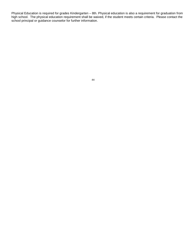Physical Education is required for grades Kindergarten – 8th. Physical education is also a requirement for graduation from high school. The physical education requirement shall be waived, if the student meets certain criteria. Please contact the school principal or guidance counselor for further information.

```
44
```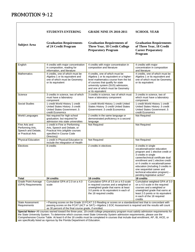# PROMOTION 9-12

|                                                                                                                                                                                                                                                                       | <b>STUDENTS ENTERING</b>                                                                                                                                                                                                                                                         | <b>GRADE NINE IN 2010-2011</b>                                                                                                                                                                                                                             | <b>SCHOOL YEAR</b>                                                                                                                                                                                                                                                                                                                                             |
|-----------------------------------------------------------------------------------------------------------------------------------------------------------------------------------------------------------------------------------------------------------------------|----------------------------------------------------------------------------------------------------------------------------------------------------------------------------------------------------------------------------------------------------------------------------------|------------------------------------------------------------------------------------------------------------------------------------------------------------------------------------------------------------------------------------------------------------|----------------------------------------------------------------------------------------------------------------------------------------------------------------------------------------------------------------------------------------------------------------------------------------------------------------------------------------------------------------|
| <b>Subject Area</b>                                                                                                                                                                                                                                                   | <b>Graduation Requirements</b><br>of 24 Credit Program                                                                                                                                                                                                                           | <b>Graduation Requirements of</b><br><b>Three Year, 18 Credit College</b><br><b>Preparatory Program</b>                                                                                                                                                    | <b>Graduation Requirements</b><br>of Three Year, 18 Credit<br><b>Career Preparatory</b><br>Program                                                                                                                                                                                                                                                             |
| English                                                                                                                                                                                                                                                               | 4 credits with major concentration<br>in composition, reading for<br>information, and literature                                                                                                                                                                                 | 4 credits with major concentration in<br>composition and literature                                                                                                                                                                                        | 4 credits with major<br>concentration in composition<br>and literature                                                                                                                                                                                                                                                                                         |
| <b>Mathematics</b>                                                                                                                                                                                                                                                    | 4 credits, one of which must be<br>Algebra 1 or its equivalent and<br>one of which must be Geometry<br>or its equivalent                                                                                                                                                         | 4 credits, one of which must be<br>Algebra 1 or its equivalent or a higher-<br>level mathematics course from the list<br>of courses that qualify for state<br>university system (SUS) admission,<br>and one of which must be Geometry<br>or its equivalent | 4 credits, one of which must be<br>Algebra 1 or its equivalent and<br>one of which must be Geometry<br>or its equivalent                                                                                                                                                                                                                                       |
| Science                                                                                                                                                                                                                                                               | 3 credits in science, two of which<br>must have a laboratory<br>component                                                                                                                                                                                                        | 3 credits in science, two of which must<br>have a laboratory component                                                                                                                                                                                     | 3 credits in science, two of<br>which must have a laboratory<br>component                                                                                                                                                                                                                                                                                      |
| <b>Social Studies</b>                                                                                                                                                                                                                                                 | 1 credit World History 1 credit<br>United States History .5 credit<br><b>United States Government .5</b><br>credit Economics                                                                                                                                                     | 1 credit World History 1 credit United<br>States History .5 credit United States<br>Government .5 credit Economics                                                                                                                                         | 1 credit World History 1 credit<br>United States History .5 credit<br>United States Government .5<br>credit Economics                                                                                                                                                                                                                                          |
| World Languages                                                                                                                                                                                                                                                       | Not required for high school<br>graduation; but required for<br>admission into state universities                                                                                                                                                                                | 2 credits in the same language or<br>demonstrated proficiency in a second<br>language                                                                                                                                                                      | Not Required                                                                                                                                                                                                                                                                                                                                                   |
| Fine Arts and<br>Performing Arts,<br>Speech and Debate,<br>or Practical Arts                                                                                                                                                                                          | 1 credit in Fine or Performing<br>Arts, Speech and Debate, or<br>Practical Arts (eligible courses<br>specified in Course Code<br>Directory)                                                                                                                                      | Not Required                                                                                                                                                                                                                                               | Not Required                                                                                                                                                                                                                                                                                                                                                   |
| <b>Physical Education</b>                                                                                                                                                                                                                                             | 1 credit in Physical Education to<br>include the integration of Health                                                                                                                                                                                                           | Not Required                                                                                                                                                                                                                                               | Not Required                                                                                                                                                                                                                                                                                                                                                   |
| Electives                                                                                                                                                                                                                                                             | 8 credits                                                                                                                                                                                                                                                                        | 2 credits in electives                                                                                                                                                                                                                                     | 3 credits in single<br>vocational/career education<br>program and 1 elective credit or<br>3 credits in single<br>career/technical certificate dual<br>enrollment and 1 elective credit<br>or 4 credits in vocational/career<br>education (including 3 credits in<br>one sequential career and<br>technical education program) -<br>pending legislative action* |
| Total                                                                                                                                                                                                                                                                 | 24 credits                                                                                                                                                                                                                                                                       | 18 credits                                                                                                                                                                                                                                                 | 18 credits                                                                                                                                                                                                                                                                                                                                                     |
| <b>Grade Point Average</b><br>(GPA) Requirements                                                                                                                                                                                                                      | Cumulative GPA of 2.0 on a 4.0<br>scale                                                                                                                                                                                                                                          | Cumulative GPA of 3.5 on a 4.0 scale<br>in required courses and a weighted or<br>unweighted grade that earns at least<br>3.0 points or its equivalent in each of<br>the 18 required credits                                                                | Cumulative weighted GPA of 3.0<br>on a 4.0 scale in the required<br>courses and a weighted or<br>unweighted grade that earns at<br>least 2.0 points or its equivalent<br>in each of the 18 required<br>credits                                                                                                                                                 |
| <b>State Assessment</b><br>Requirements                                                                                                                                                                                                                               | . Passing scores on the Grade 10 FCAT 2.0 Reading or scores on a standardized test that is concordant with<br>passing scores on the FCAT (ACT or SAT) • Algebra 1 EOC Assessment is required and the results will count<br>as 30 percent of the final course grade, if enrolled. |                                                                                                                                                                                                                                                            |                                                                                                                                                                                                                                                                                                                                                                |
| Special Notes• All courses earned toward the three-year, 18-credit college preparatory program must satisfy admission requirements for<br>the State University System. To determine which courses meet State University System admission requirements, please use the |                                                                                                                                                                                                                                                                                  |                                                                                                                                                                                                                                                            |                                                                                                                                                                                                                                                                                                                                                                |

┑

Comprehensive Course Table. At least 6 of the 18 credits must be completed in courses that include dual enrollment, AP, IB, AICE, or are specifically listed as rigorous by the Florida Department of Education.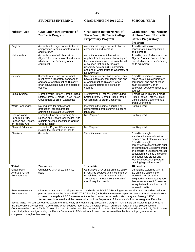|                                                                              | <b>STUDENTS ENTERING</b>                                                                                                                                                                                                                                                                                                                                                                                                                                   | <b>GRADE NINE IN 2011-2012</b>                                                                                                                                                                                                                                                                                                                                                                                                                                                                                                                           | <b>SCHOOL YEAR</b>                                                                                                                                                                                                                                                                                                                                             |
|------------------------------------------------------------------------------|------------------------------------------------------------------------------------------------------------------------------------------------------------------------------------------------------------------------------------------------------------------------------------------------------------------------------------------------------------------------------------------------------------------------------------------------------------|----------------------------------------------------------------------------------------------------------------------------------------------------------------------------------------------------------------------------------------------------------------------------------------------------------------------------------------------------------------------------------------------------------------------------------------------------------------------------------------------------------------------------------------------------------|----------------------------------------------------------------------------------------------------------------------------------------------------------------------------------------------------------------------------------------------------------------------------------------------------------------------------------------------------------------|
| <b>Subject Area</b>                                                          | <b>Graduation Requirements of</b><br>24 Credit Program                                                                                                                                                                                                                                                                                                                                                                                                     | <b>Graduation Requirements of</b><br><b>Three Year, 18 Credit College</b><br><b>Preparatory Program</b>                                                                                                                                                                                                                                                                                                                                                                                                                                                  | <b>Graduation Requirements</b><br>of Three Year, 18 Credit<br><b>Career Preparatory</b><br>Program                                                                                                                                                                                                                                                             |
| English                                                                      | 4 credits with major concentration in<br>composition, reading for information,<br>and literature                                                                                                                                                                                                                                                                                                                                                           | 4 credits with major concentration in<br>composition and literature                                                                                                                                                                                                                                                                                                                                                                                                                                                                                      | 4 credits with major<br>concentration in composition<br>and literature                                                                                                                                                                                                                                                                                         |
| Mathematics                                                                  | 4 credits, one of which must be<br>Algebra 1 or its equivalent and one of<br>which must be Geometry or its<br>equivalent                                                                                                                                                                                                                                                                                                                                   | 4 credits, one of which must be<br>Algebra 1 or its equivalent or a higher-<br>level mathematics course from the list<br>of courses that qualify for state<br>university system (SUS) admission,<br>and one of which must be Geometry or<br>its equivalent                                                                                                                                                                                                                                                                                               | 4 credits, one of which must be<br>Algebra 1 or its equivalent and<br>one of which must be Geometry<br>or its equivalent                                                                                                                                                                                                                                       |
| Science                                                                      | 3 credits in science, two of which<br>must have a laboratory component<br>and one of which must be Biology 1<br>or an equivalent course or a series of<br>courses                                                                                                                                                                                                                                                                                          | 3 credits in science, two of which must<br>have a laboratory component and one<br>of which must be Biology 1 or an<br>equivalent course or a series of<br>courses                                                                                                                                                                                                                                                                                                                                                                                        | 3 credits in science, two of<br>which must have a laboratory<br>component and one of which<br>must be Biology 1 or an<br>equivalent course or a series of<br>courses                                                                                                                                                                                           |
| <b>Social Studies</b>                                                        | 1 credit World History 1 credit United<br>States History .5 credit United States<br>Government .5 credit Economics                                                                                                                                                                                                                                                                                                                                         | 1 credit World History 1 credit United<br>States History .5 credit United States<br>Government .5 credit Economics                                                                                                                                                                                                                                                                                                                                                                                                                                       | 1 credit World History 1 credit<br>United States History .5 credit<br>United States Government .5<br>credit Economics                                                                                                                                                                                                                                          |
| World Languages                                                              | Not required for high school<br>graduation; but required for<br>admission into state universities                                                                                                                                                                                                                                                                                                                                                          | 2 credits in the same language or<br>demonstrated proficiency in a second<br>language                                                                                                                                                                                                                                                                                                                                                                                                                                                                    | Not Required                                                                                                                                                                                                                                                                                                                                                   |
| Fine Arts and<br>Performing Arts,<br>Speech and Debate,<br>or Practical Arts | 1 credit in Fine or Performing Arts,<br>Speech and Debate, or Practical Arts<br>(eligible courses specified in Course<br>Code Directory)                                                                                                                                                                                                                                                                                                                   | Not Required                                                                                                                                                                                                                                                                                                                                                                                                                                                                                                                                             | Not Required                                                                                                                                                                                                                                                                                                                                                   |
| <b>Physical Education</b>                                                    | 1 credit in Physical Education to<br>include the integration of Health                                                                                                                                                                                                                                                                                                                                                                                     | Not Required                                                                                                                                                                                                                                                                                                                                                                                                                                                                                                                                             | Not Required                                                                                                                                                                                                                                                                                                                                                   |
| Electives                                                                    | 8 credits                                                                                                                                                                                                                                                                                                                                                                                                                                                  | 2 credits in electives                                                                                                                                                                                                                                                                                                                                                                                                                                                                                                                                   | 3 credits in single<br>vocational/career education<br>program and 1 elective credit or<br>3 credits in single<br>career/technical certificate dual<br>enrollment and 1 elective credit<br>or 4 credits in vocational/career<br>education (including 3 credits in<br>one sequential career and<br>technical education program) -<br>pending legislative action* |
| <b>Total</b>                                                                 | 24 credits                                                                                                                                                                                                                                                                                                                                                                                                                                                 | 18 credits                                                                                                                                                                                                                                                                                                                                                                                                                                                                                                                                               | 18 credits                                                                                                                                                                                                                                                                                                                                                     |
| <b>Grade Point</b><br>Average (GPA)<br>Requirements                          | Cumulative GPA of 2.0 on a 4.0<br>scale                                                                                                                                                                                                                                                                                                                                                                                                                    | Cumulative GPA of 3.5 on a 4.0 scale<br>in required courses and a weighted or<br>unweighted grade that earns at least<br>3.0 points or its equivalent in each of<br>the 18 required credits                                                                                                                                                                                                                                                                                                                                                              | Cumulative weighted GPA of<br>3.0 on a 4.0 scale in the<br>required courses and a<br>weighted or unweighted grade<br>that earns at least 2.0 points or<br>its equivalent in each of the 18<br>required credits                                                                                                                                                 |
| <b>State Assessment</b><br>Requirements                                      | · Students must earn passing scores on the Grade 10 FCAT 2.0 Reading (or scores that are concordant with the<br>passing scores on the Grade 10 FCAT 2.0 Reading) . Students must earn a passing score or attain an equivalent<br>score on the Algebra 1 EOC Assessment in order to earn course credit. • Geometry and Biology 1 EOC<br>Assessment is required and the results will constitute 30 percent of the student's final course grade, if enrolled. |                                                                                                                                                                                                                                                                                                                                                                                                                                                                                                                                                          |                                                                                                                                                                                                                                                                                                                                                                |
|                                                                              |                                                                                                                                                                                                                                                                                                                                                                                                                                                            | Special Notes • All courses earned toward the three-year, 18-credit college preparatory program must satisfy admission requirements for<br>the State University System. To determine which courses meet State University System admission requirements, please use the<br>Comprehensive Course Table. At least 6 of the 18 credits must be completed in courses that include dual enrollment, AP, IB, AICE, or are<br>specifically listed as rigorous by the Florida Department of Education. • At least one course within the 24-credit program must be |                                                                                                                                                                                                                                                                                                                                                                |

completed through online learning.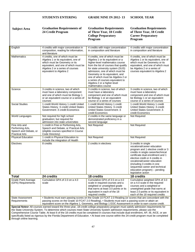|                                                                                     | <b>STUDENTS ENTERING</b>                                                                                                                                                                                                                                                                                                                                                                                          | <b>GRADE NINE IN 2012-13</b>                                                                                                                                                                                                                                                                                                                                                              | <b>SCHOOL YEAR</b>                                                                                                                                                                                                                                                                                                                                            |
|-------------------------------------------------------------------------------------|-------------------------------------------------------------------------------------------------------------------------------------------------------------------------------------------------------------------------------------------------------------------------------------------------------------------------------------------------------------------------------------------------------------------|-------------------------------------------------------------------------------------------------------------------------------------------------------------------------------------------------------------------------------------------------------------------------------------------------------------------------------------------------------------------------------------------|---------------------------------------------------------------------------------------------------------------------------------------------------------------------------------------------------------------------------------------------------------------------------------------------------------------------------------------------------------------|
| <b>Subject Area</b>                                                                 | <b>Graduation Requirements of</b><br>24 Credit Program                                                                                                                                                                                                                                                                                                                                                            | <b>Graduation Requirements</b><br>of Three Year, 18 Credit<br><b>College Preparatory</b><br>Program                                                                                                                                                                                                                                                                                       | <b>Graduation Requirements</b><br>of Three Year, 18 Credit<br><b>Career Preparatory</b><br>Program                                                                                                                                                                                                                                                            |
| English                                                                             | 4 credits with major concentration in<br>composition, reading for information,<br>and literature                                                                                                                                                                                                                                                                                                                  | 4 credits with major concentration<br>in composition and literature                                                                                                                                                                                                                                                                                                                       | 4 credits with major concentration<br>in composition and literature                                                                                                                                                                                                                                                                                           |
| <b>Mathematics</b>                                                                  | 4 credits, one of which must be<br>Algebra 1 or its equivalent, one of<br>which must be Geometry or its<br>equivalent, and one of which must be<br>Algebra 2 or a series of courses<br>equivalent to Algebra 2                                                                                                                                                                                                    | 4 credits, one of which must be<br>Algebra 1 or its equivalent or a<br>higher-level mathematics course<br>from the list of courses that qualify<br>for state university system (SUS)<br>admission, one of which must be<br>Geometry or its equivalent, and<br>one of which must be Algebra 2 or<br>a series of courses equivalent to<br>Algebra 2 or a higher-level<br>mathematics course | 4 credits, one of which must be<br>Algebra 1 or its equivalent, one of<br>which must be Geometry or its<br>equivalent, and one of which must<br>be Algebra 2 or a series of<br>courses equivalent to Algebra 2                                                                                                                                                |
| Science                                                                             | 3 credits in science, two of which<br>must have a laboratory component<br>and one of which must be Biology 1<br>or an equivalent course or a series of<br>courses                                                                                                                                                                                                                                                 | 3 credits in science, two of which<br>must have a laboratory<br>component and one of which must<br>be Biology 1 or an equivalent<br>course or a series of courses                                                                                                                                                                                                                         | 3 credits in science, two of which<br>must have a laboratory<br>component and one of which must<br>be Biology 1 or an equivalent<br>course or a series of courses                                                                                                                                                                                             |
| <b>Social Studies</b>                                                               | 1 credit World History 1 credit United<br>States History .5 credit United States<br>Government .5 credit Economics                                                                                                                                                                                                                                                                                                | 1 credit World History 1 credit<br>United States History .5 credit<br><b>United States Government .5</b><br>credit Economics                                                                                                                                                                                                                                                              | 1 credit World History 1 credit<br>United States History .5 credit<br>United States Government .5<br>credit Economics                                                                                                                                                                                                                                         |
| World Languages                                                                     | Not required for high school<br>graduation; but required for<br>admission into state universities                                                                                                                                                                                                                                                                                                                 | 2 credits in the same language or<br>demonstrated proficiency in a<br>second language                                                                                                                                                                                                                                                                                                     | Not Required                                                                                                                                                                                                                                                                                                                                                  |
| Fine Arts and<br>Performing Arts,<br>Speech and Debate, or<br><b>Practical Arts</b> | 1 credit in Fine or Performing Arts,<br>Speech and Debate, or Practical Arts<br>(eligible courses specified in Course<br>Code Directory)                                                                                                                                                                                                                                                                          | Not Required                                                                                                                                                                                                                                                                                                                                                                              | Not Required                                                                                                                                                                                                                                                                                                                                                  |
| <b>Physical Education</b>                                                           | 1 credit in Physical Education to<br>include the integration of Health                                                                                                                                                                                                                                                                                                                                            | <b>Not Required</b>                                                                                                                                                                                                                                                                                                                                                                       | <b>Not Required</b>                                                                                                                                                                                                                                                                                                                                           |
| Electives                                                                           | 8 credits                                                                                                                                                                                                                                                                                                                                                                                                         | 2 credits in electives                                                                                                                                                                                                                                                                                                                                                                    | 3 credits in single<br>vocational/career education<br>program and 1 elective credit or 3<br>credits in single career/technical<br>certificate dual enrollment and 1<br>elective credit or 4 credits in<br>vocational/career education<br>(including 3 credits in one<br>sequential career and technical<br>education program) - pending<br>legislative action |
| <b>Total</b>                                                                        | 24 credits                                                                                                                                                                                                                                                                                                                                                                                                        | 18 credits                                                                                                                                                                                                                                                                                                                                                                                | 18 credits                                                                                                                                                                                                                                                                                                                                                    |
| <b>Grade Point Average</b><br>(GPA) Requirements                                    | Cumulative GPA of 2.0 on a 4.0<br>scale                                                                                                                                                                                                                                                                                                                                                                           | Cumulative GPA of 3.5 on a 4.0<br>scale in required courses and a<br>weighted or unweighted grade<br>that earns at least 3.0 points or its<br>equivalent in each of the 18<br>required credits                                                                                                                                                                                            | Cumulative weighted GPA of 3.0<br>on a 4.0 scale in the required<br>courses and a weighted or<br>unweighted grade that earns at<br>least 2.0 points or its equivalent in<br>each of the 18 required credits                                                                                                                                                   |
| <b>State Assessment</b><br>Requirements                                             | • Students must earn passing scores on the Grade 10 FCAT 2.0 Reading (or scores that are concordant with the<br>passing scores on the Grade 10 FCAT 2.0 Reading). • Students must earn a passing score or attain an<br>equivalent score on the Algebra 1, Geometry, and Biology 1 EOC Assessment in order to earn course credit.                                                                                  |                                                                                                                                                                                                                                                                                                                                                                                           |                                                                                                                                                                                                                                                                                                                                                               |
|                                                                                     | Special Notes• All courses earned toward the three-year, 18-credit college preparatory program must satisfy admission requirements for<br>the State University System. To determine which courses meet State University System admission requirements, please use the<br>Comprehensive Course Table. At least 6 of the 18 credits must be completed in courses that include dual enrollment, AP, IB, AICE, or are |                                                                                                                                                                                                                                                                                                                                                                                           |                                                                                                                                                                                                                                                                                                                                                               |

specifically listed as rigorous by the Florida Department of Education. • At least one course within the 24-credit program must be completed through online learning.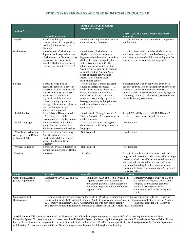### **STUDENTS ENTERING GRADE NINE IN 2013-2014 SCHOOL YEAR**

| <b>Subject Area</b>                                                    |                                                                                                                                                                                                                                                                                                                        | Three Year, 18 Credit College<br><b>Preparatory Program</b>                                                                                                                                                                                                                                                                                                                                                                                                               |                                                                                                                                                                                                                                                                                                                                                                                                                                                                              |
|------------------------------------------------------------------------|------------------------------------------------------------------------------------------------------------------------------------------------------------------------------------------------------------------------------------------------------------------------------------------------------------------------|---------------------------------------------------------------------------------------------------------------------------------------------------------------------------------------------------------------------------------------------------------------------------------------------------------------------------------------------------------------------------------------------------------------------------------------------------------------------------|------------------------------------------------------------------------------------------------------------------------------------------------------------------------------------------------------------------------------------------------------------------------------------------------------------------------------------------------------------------------------------------------------------------------------------------------------------------------------|
|                                                                        | - 24 Credit Program                                                                                                                                                                                                                                                                                                    |                                                                                                                                                                                                                                                                                                                                                                                                                                                                           | Three Year, 18 Credit Career Preparatory<br>Program                                                                                                                                                                                                                                                                                                                                                                                                                          |
| English                                                                | 4 credits with major<br>concentration in composition,<br>reading for information, and<br>literature                                                                                                                                                                                                                    | 4 credits with major concentration in<br>composition and literature                                                                                                                                                                                                                                                                                                                                                                                                       | 4 credits with major concentration in composition<br>and literature                                                                                                                                                                                                                                                                                                                                                                                                          |
| Mathematics                                                            | 4 credits, one of which must be<br>Algebra 1 or its equivalent, one<br>of which must be Geometry or its<br>equivalent, and one of which<br>must be Algebra 2 or a series of<br>courses equivalent to Algebra 2                                                                                                         | 4 credits, one of which must be<br>Algebra 1 or its equivalent or a<br>higher-level mathematics course from<br>the list of courses that qualify for<br>state university system (SUS)<br>admission, one of which must be<br>Geometry or its equivalent, and one<br>of which must be Algebra 2 or a<br>series of courses equivalent to<br>Algebra 2 or a higher-level<br>mathematics course                                                                                 | 4 credits, one of which must be Algebra 1 or its<br>equivalent, one of which must be Geometry or its<br>equivalent, and one of which must be Algebra 2 or<br>a series of courses equivalent to Algebra 2                                                                                                                                                                                                                                                                     |
| Science                                                                | 1 credit Biology 1 or an<br>equivalent course or a series of<br>courses 1 credit in chemistry or<br>physics or a series of courses<br>equivalent to chemistry or<br>physics 1 credit in a science<br>course equally rigorous to<br>biology, chemistry and physics<br>(two credits must have a<br>laboratory component) | 1 credit Biology 1 or an equivalent<br>course or a series of courses<br>1<br>credit in chemistry or physics or a<br>series of courses equivalent to<br>chemistry or physics 1 credit in a<br>science course equally rigorous to<br>biology, chemistry and physics (two<br>credits must have a laboratory<br>component)                                                                                                                                                    | 1 credit Biology 1 or an equivalent course or a<br>series of courses 1 credit in chemistry or physics or<br>a series of courses equivalent to chemistry or<br>physics1 credit in a science course equally rigorous<br>to biology, chemistry and physics (two credits must<br>have a laboratory component)                                                                                                                                                                    |
| <b>Social Studies</b>                                                  | 1 credit World History 1 credit<br>U.S. History .5 credit U.S.<br>Government .5 credit Economics                                                                                                                                                                                                                       | 1 credit World History 1 credit U.S.<br>History .5 credit U.S. Government .5<br>credit Economics                                                                                                                                                                                                                                                                                                                                                                          | 1 credit World History 1 credit U.S. History .5<br>credit U.S. Government .5 credit Economics                                                                                                                                                                                                                                                                                                                                                                                |
| <b>World Languages</b>                                                 | Not required for high school<br>graduation; but required for<br>admission into state universities                                                                                                                                                                                                                      | 2 credits in the same language or<br>demonstrated proficiency in a second<br>language                                                                                                                                                                                                                                                                                                                                                                                     | Not Required                                                                                                                                                                                                                                                                                                                                                                                                                                                                 |
| Visual and Performing<br>Arts, Speech and Debate,<br>or Practical Arts | 1 credit in Fine or Performing<br>Arts, Speech and Debate, or<br>Practical Arts (eligible courses<br>specified in Course Code<br>Directory)                                                                                                                                                                            | Not Required                                                                                                                                                                                                                                                                                                                                                                                                                                                              | Not Required                                                                                                                                                                                                                                                                                                                                                                                                                                                                 |
| Physical Education                                                     | 1 credit in Physical Education to<br>include the integration of Health                                                                                                                                                                                                                                                 | Not Required                                                                                                                                                                                                                                                                                                                                                                                                                                                              | Not Required                                                                                                                                                                                                                                                                                                                                                                                                                                                                 |
| Electives                                                              | 8 credits                                                                                                                                                                                                                                                                                                              | 2 credits                                                                                                                                                                                                                                                                                                                                                                                                                                                                 | 3 credits in single vocational/career education<br>program and 1 elective credit or 3 credits in single<br>career/technical certificate dual enrollment and 1<br>elective credit or 4 credits in vocational/career<br>education (including 3 credits in one sequential<br>career and technical education program) - pending<br>legislative action                                                                                                                            |
| <b>Total</b>                                                           | 24 credits                                                                                                                                                                                                                                                                                                             | 18 credits                                                                                                                                                                                                                                                                                                                                                                                                                                                                | 18 credits                                                                                                                                                                                                                                                                                                                                                                                                                                                                   |
| Grade Point Average<br>(GPA) Requirements                              | Cumulative GPA of 2.0 on a 4.0<br>scale                                                                                                                                                                                                                                                                                | Cumulative GPA of 3.5 on a 4.0 scale in<br>Cumulative weighted GPA of 3.0 on a<br>required courses and a weighted or<br>4.0 scale in the required courses and a<br>weighted or unweighted grade that<br>unweighted grade that earns at least 3.0<br>points or its equivalent in each of the 18<br>earns at least 2.0 points or its<br>required credits<br>equivalent in each of the 18 required<br>credits                                                                |                                                                                                                                                                                                                                                                                                                                                                                                                                                                              |
| <b>State Assessment</b><br>Requirements                                |                                                                                                                                                                                                                                                                                                                        | • Students must earn passing scores on the Grade 10 FCAT 2.0 Reading (or scores that are concordant with the<br>passing<br>scores on the Grade 10 FCAT 2.0 Reading). • Students must earn a passing score or attain an equivalent score on the Algebra<br>1, Geometry, and Biology 1 EOC Assessment in order to earn course credit. •<br>The final grade for U.S. History or<br>U.S. History Honors must include a minimum 30 percent of the U.S. History EOC Assessment. |                                                                                                                                                                                                                                                                                                                                                                                                                                                                              |
|                                                                        |                                                                                                                                                                                                                                                                                                                        | of Education. At least one course within the 24-credit program must be completed through online learning.                                                                                                                                                                                                                                                                                                                                                                 | Special Notes • All courses earned toward the three-year, 18-credit college preparatory program must satisfy admission requirements for the State<br>University System. To determine which courses meet State University System admission requirements, please use the Comprehensive Course Table. At least<br>6 of the 18 credits must be completed in courses that include dual enrollment, AP, IB, AICE, or are specifically listed as rigorous by the Florida Department |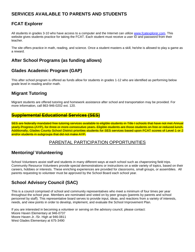# **SERVICES AVAILABLE TO PARENTS AND STUDENTS**

# **FCAT Explorer**

All students in grades 3-10 who have access to a computer and the Internet can utilize [www.fcatexplorer.com.](http://www.fcatexplorer.com/) This website gives students practice for taking the FCAT. Each student must receive a user ID and password from their teacher.

The site offers practice in math, reading, and science. Once a student masters a skill, he/she is allowed to play a game as a reward.

# **After School Programs (as funding allows)**

# **Glades Academic Program (GAP)**

This after school program is offered as funds allow for students in grades 1-12 who are identified as performing below grade level in reading and/or math.

# **Migrant Tutoring**

Migrant students are offered tutoring and homework assistance after school and transportation may be provided. For more information, call 863-946-0202 ext. 120.

## **Supplemental Educational Services (SES)**

SES are federally mandated free tutoring services available to eligible students in Title I schools that have not met Annual yearly Progress (AYP), for three or more consecutive years. Eligible students are those students on free or reduced lunch. Additionally, Glades County School District priorities students for SES services based upon FCAT scores of Level 1 or 2 and/or students in subgroups that did not make AYP.

# PARENTAL PARTICIPATION OPPORTUNITIES

# **Mentoring/ Volunteering**

School Volunteers assist staff and students in many different ways at each school such as chaperoning field trips. Community Resource Volunteers provide special demonstrations or instructions on a wide variety of topics, based on their careers, hobbies or interests. These enriching experiences are provided for classrooms, small groups, or assemblies. All parents requesting to volunteer must be approved by the School Board each school year.

# **School Advisory Council (SAC)**

This is a council comprised of school and community representatives who meet a minimum of four times per year throughout the school year. Members are nominated and voted on by peer groups (parents by parents and school personnel by staff). This representative board serves to provide input, ideas, and reactions from a variety of interests, needs, and view points in order to develop, implement, and evaluate the School Improvement Plan.

If you are interested in becoming a volunteer or serving on the advisory council, please contact: Moore Haven Elementary at 946-0737 Moore Haven Jr. /Sr. High at 946-0811 West Glades Elementary at 675-3490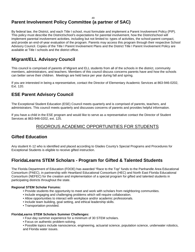### 49 **Parent Involvement Policy Committee (a partner of SAC)**

By federal law, the District, and each Title I school, must formulate and implement a Parent Involvement Policy (PIP). This policy must describe the District/school's expectations for parental involvement, how the District/school will implement parental involvement activities, including but not limited to: types of activities, the school-parent compact, and provide an end-of-year evaluation of the program. Parents may access this program through their respective School Advisory Council. Copies of the Title I Parent Involvement Plans and the District Title I Parent Involvement Policy are available at Title I schools and the district office.

# **Migrant/ELL Advisory Council**

This council is comprised of parents of Migrant and ELL students from all of the schools in the district, community members, administrators, and teachers. Members of this council discuss concerns parents have and how the schools can better serve their children. Meetings are held twice per year during fall and spring.

If you are interested in being a representative, contact the Director of Elementary Academic Services at 863-946-0202, Ext. 120.

# **ESE Parent Advisory Council**

The Exceptional Student Education (ESE) Council meets quarterly and is comprised of parents, teachers, and administrators. This council meets quarterly and discusses concerns of parents and provides helpful information.

If you have a child in the ESE program and would like to serve as a representative contact the Director of Student Services at 863-946-0202, ext. 125.

# RIGOROUS ACADEMIC OPPORTUNITIES FOR STUDENTS

## **Gifted Education**

Any student K-12 who is identified and placed according to Glades County's Special Programs and Procedures for Exceptional Students is eligible to receive gifted instruction.

# **FloridaLearns STEM Scholars - Program for Gifted & Talented Students**

The Florida Department of Education (FDOE) has awarded "Race to the Top" funds to the Panhandle Area Educational Consortium (PAEC), in partnership with Heartland Educational Consortium (HEC) and North East Florida Educational Consortium (NEFEC) for the creation and implementation of a special program for gifted and talented students in participating districts throughout the state.

### **Regional STEM Scholar Forums:**

- Provide students the opportunity to meet and work with scholars from neighboring communities.
- Include engaging and challenging problems which will require collaboration.
- Allow opportunities to interact with workplace and/or academic professionals.
- Include team building, goal setting, and ethical leadership skills.
- Transportation provided.

### **FloridaLearns STEM Scholars Summer Challenges:**

- Four-day summer experience for a minimum of 30 STEM scholars.
- Focus on authentic problem-solving.
- Possible topics include nanoscience, engineering, actuarial science, population science, underwater robotics, and Florida water issues.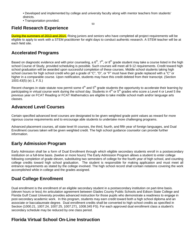- Developed and implemented by college and university faculty along with mentor teachers from students' districts.
- Transportation provided.

50

# **Field Research Experience**

**During the summers of 2013 and 2014,** Rising juniors and seniors who have completed all project requirements will be eligible to apply to work with a STEM practitioner for eight days to conduct authentic research. A STEM teacher will be at each field site.

# **Accelerated Programs**

Based on diagnostic evidence and with prior counseling, a  $6<sup>th</sup>$ ,  $7<sup>th</sup>$ , or  $8<sup>th</sup>$  grade student may take a course listed in the high school Course of Study, provided scheduling is possible. Such courses will meet all 9-12 requirements. Credit toward high school graduation will be awarded upon successful completion of these courses. Middle school students taking high school courses for high school credit who get a grade of "C", "D", or "F" must have their grade replaced with a "C" or higher in a comparable course. Upon notification, students may have this credit deleted from their transcript. (Section 1003.43(5) (e) 1, F.S.)

Recent changes in state statute now permit some  $4<sup>th</sup>$  and  $5<sup>th</sup>$  grade students the opportunity to accelerate their learning by participating in virtual course work during the school day. Students in 4<sup>th</sup> or 5<sup>th</sup> grades who score a Level 4 or Level 5 the previous year on FCAT Reading or FCAT Mathematics are eligible to take middle school math and/or language arts classes.

# **Advanced Level Courses**

Certain specified advanced level courses are designated to be given weighted grade point values as reward for more rigorous course requirements and to encourage able students to undertake more challenging programs.

Advanced placement courses, all state level III courses, the third, fourth, and fifth year of foreign languages, and Dual Enrollment courses taken will be given weighted credit. The high school guidance counselor can provide further information.

# **Early Admission Program**

Early Admission shall be a form of Dual Enrollment through which eligible secondary students enroll in a postsecondary institution on a full-time basis. (twelve or more hours) The Early Admission Program allows a student to enter college following completion of grade eleven, substituting two semesters of college for the fourth year of high school, and counting college credits toward high school graduation. The student is responsible for making application and must meet all entrance requirements as stated by the college involved. The high school record shall contain notations covering the work accomplished while in college and the grades assigned.

# **Dual College Enrollment**

Dual enrollment is the enrollment of an eligible secondary student in a postsecondary institution on part-time basis. (eleven hours or less) An articulation agreement between Glades County Public Schools and Edison State College and Florida Gulf Coast University provides advanced instruction for those pupils who demonstrate a readiness to engage in post-secondary academic work. In this program, students may earn credit toward both a high school diploma and an associate or baccalaureate degree. Dual enrollment credits shall be converted to high school credits as specified in Section (1000.21, 1007.24, 1007.25, 1007.271, 1008.345 FS). For each approved dual enrollment class a student's secondary schedule may be reduced by one class period.

# **Florida Virtual School On-Line Instruction**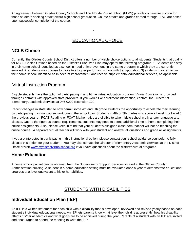An agreement between Glades County Schools and The Florida Virtual School (FLVS) provides on-line instruction for those students seeking credit toward high school graduation. Course credits and grades earned through FLVS are based upon successful completion of the course.

51

# EDUCATIONAL CHOICE

# **NCLB Choice**

Currently, the Glades County School District offers a number of viable choice options to all students. Students that qualify for NCLB Choice Options based on the District's Prioritized Plan may opt for the following programs: 1. Students can stay in their home school identified as a school in need of improvement, in the same program in which they are currently enrolled. 2. students may choose to move to a higher performing school with transportation; 3) students may remain in their home school, identified as in need of improvement, and receive supplemental educational services, as applicable.

# Virtual Instruction Program

Eligible students have the option of participating in a full-time virtual education program. Virtual Education is provided through contracts with approved state providers. If you would like enrollment information, contact the Director of Elementary Academic Services at 946-0202,Extension 120.

Recent changes in state statute now permit some 4th and 5th grade students the opportunity to accelerate their learning by participating in virtual course work during the school day. Students in 4th or 5th grades who score a Level 4 or Level 5 the previous year on FCAT Reading or FCAT Mathematics are eligible to take middle school math and/or language arts classes. Due to the rigorous course requirements, students may need to spend additional time at home completing their online assignments. Also, please keep in mind that your student's assigned classroom teacher will not be teaching the online course. A separate virtual teacher will work with your student and answer all questions and grade all assignments.

If you are interested in participating in this instructional option, please contact your school guidance counselor to fully discuss this option for your student. You may also contact the Director of Elementary Academic Services at the District Office or visit [www.mydistrictvirtualschool.org](http://www.mydistrictvirtualschool.or/) if you have questions about the district's virtual programs.

# **Home Education**

A home school packet can be obtained from the Supervisor of Support Services located at the Glades County Administration building. A student in a home education setting must be evaluated once a year to demonstrate educational progress at a level equivalent to his or her abilities.

# STUDENTS WITH DISABILITIES

# **Individual Education Plan (IEP)**

An IEP is a written statement for each child with a disability that is developed, reviewed and revised yearly based on each student's individual educational needs. An IEP lets parents know what level their child is at presently, how his disability affects his/her academics and what goals are to be achieved during the year. Parents of a student with an IEP are invited and encouraged to attend the meeting to write the IEP.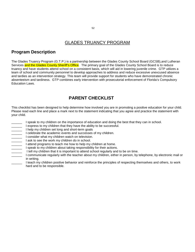## GLADES TRUANCY PROGRAM

## **Program Description**

The Glades Truancy Program (G.T.P.) is a partnership between the Glades County School Board (GCSB),and Lutheran Services and the Glades County Sheriff's Office. The primary goal of the Glades County School Board is to reduce truancy and have students attend school on a consistent basis, which will aid in lowering juvenile crime. GTP utilizes a team of school and community personnel to develop approaches to address and reduce excessive unexcused absence and tardies as an intervention strategy. This team will provide support for students who have demonstrated chronic absenteeism and tardiness. GTP combines early intervention with prosecutorial enforcement of Florida's Compulsory Education Laws.

# **PARENT CHECKLIST**

This checklist has been designed to help determine how involved you are in promoting a positive education for your child. Please read each line and place a mark next to the statement indicating that you agree and practice the statement with your child.

- I speak to my children on the importance of education and doing the best that they can in school.
- \_\_\_\_\_\_ I express to my children that they have the ability to be successful.
- I help my children set long and short-term goals
- I celebrate the academic events and successes of my children.
- I consider what my children watch on television.
- I ask to see the work my children do in school.
- I attend programs to teach me how to help my children at home.
- **I** speak to my children about taking responsibility for their actions.
- I tell my children that it is important to attend school regularly and to be on time.
- I communicate regularly with the teacher about my children, either in person, by telephone, by electronic mail or in writing.
- I teach my children positive behavior and reinforce the principles of respecting themselves and others, to work hard and to be responsible.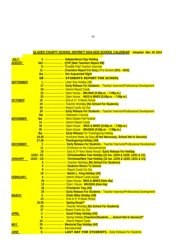## *GLADES COUNTY SCHOOL DISTRICT 2014-2015 SCHOOL CALENDAR Adopted: Mar. 24, 2014*

| <b>JULY</b>            | 4 ---------------------- Independence Day Holiday                                                   |
|------------------------|-----------------------------------------------------------------------------------------------------|
| <b>AUGUST</b>          | 6&7---------------------- QTIP (New Teachers Report 8/6)                                            |
|                        | 8 ---------------------- Possible Paid Teacher Inservice                                            |
|                        | 11 ---------------------- (Teachers Report For Duty) Pre-School (8/11 - 8/15)                       |
|                        | tba ---------------------- Get Acquainted Night                                                     |
|                        | 18 --------------------- STUDENTS REPORT FOR SCHOOL                                                 |
| <b>SEPTEMBER</b>       | 1 ----------------------- Labor Day Holiday (All)                                                   |
|                        | 17 ---------------------- Early Release For Students - Teacher Inservice/Professional Development   |
|                        | 19 ---------------------- Interim Report Cards                                                      |
|                        | 23 ---------------------- Open House - MHJSHS (5:00p.m. - 7:00p.m.)                                 |
|                        | 25 ---------------------- Open House - WGS & MHES (5:00p.m. - 7:00p.m.)                             |
| <b>OCTOBER</b>         | 15 ----------------------- End of 1st 9 Week Period                                                 |
|                        | 20 ------------------------ Teacher Workday (No School For Students)                                |
|                        | 24 ------------------------    Report Cards Go Out                                                  |
|                        | 29 ------------------------ Early Release For Students - Teacher Inservice/Professional Development |
|                        | tba ----------------------- Halloween Carnival                                                      |
| <b>NOVEMBER</b>        | tba ---------------------- West Glades Fall Festival                                                |
|                        | 14 ----------------------- Interim Report Cards                                                     |
|                        | 18 ----------------------- Open House - WGS & MHES (5:00p.m. - 7:00p.m.)                            |
|                        | 20 ----------------------- Open House - MHJSHS (5:00p.m. - 7:00p.m.)                                |
|                        | tba ----------------------- Early Release For Thanksgiving Holiday                                  |
|                        | 24-26 ---------------------- Hurricane Make Up Days (If Not Necessary, School Not In Session)       |
|                        | 27-28 ----------------------- Thanksgiving Holiday (All)                                            |
| <b>DECEMBER</b>        | 3 ----------------------- Early Release For Students - Teacher Inservice/Professional Development   |
|                        | 11 ----------------------- Christmas on the Caloosahatchee                                          |
|                        | 19 ----------------------- End of 2 <sup>nd</sup> Nine Week Period / Early Release For Holiday      |
|                        | 12/22-1/2 ----------------------- Christmas/New Year Holiday (12 mo. 12/24 & 12/25, 12/31 & 1/1)    |
| <mark>JANUARY</mark> 1 | 12/22 - 1/2 ---------------------- Christmas/New Year Holiday (12 mo. 12/24 & 12/25, 12/31 & 1/1)   |
|                        | 5 ------------------------- Teacher Workday (No School For Students)                                |
|                        | 6 ------------------------- Students Return To School                                               |
|                        | 9 -------------------------    Report Cards Go Out                                                  |
|                        | 19 ------------------------- Martin L. King Holiday (All)                                           |
| <b>FEBRUARY</b>        | 6 ----------------------- Interim Report Cards Issued                                               |
|                        | 10 ---------------------- Open House- WGS & MHES (time tba)                                         |
|                        | 12 ----------------------- Open House - MHJSHS (time tba)                                           |
|                        | 16 ------------------------ Presidents' Day (All)                                                   |
|                        | 25 ------------------------ Early Release For Students - Teacher Inservice/Professional Development |
| <u> MARCH</u>          | 6 ---------------------- Chalo Nitka Holiday (All)                                                  |
|                        | 13 ----------------------    End of 3rd 9 Week Period                                               |
|                        | 16-20 ----------------------- Spring Break**                                                        |
|                        | 23 ---------------------- Teacher Workday (No School For Students)                                  |
|                        | 27 ----------------------- Report Cards Go Out                                                      |
| <u>APRIL</u>           | 3 -----------------------    Good Friday Holiday (All)                                              |
|                        | 6 ---------------------- Spring Holiday (Teachers/Students School Not In Session)**                 |
|                        | 24 ----------------------- Interim Report Cards                                                     |
| <u>МАҮ </u>            | 25 ---------------------- Memorial Day Holiday (All)                                                |
|                        | 31 ---------------------- Baccalaureate                                                             |
| <b>JUNE</b>            | 5 ----------------------- LAST DAY FOR STUDENTS - Early Release For Students                        |